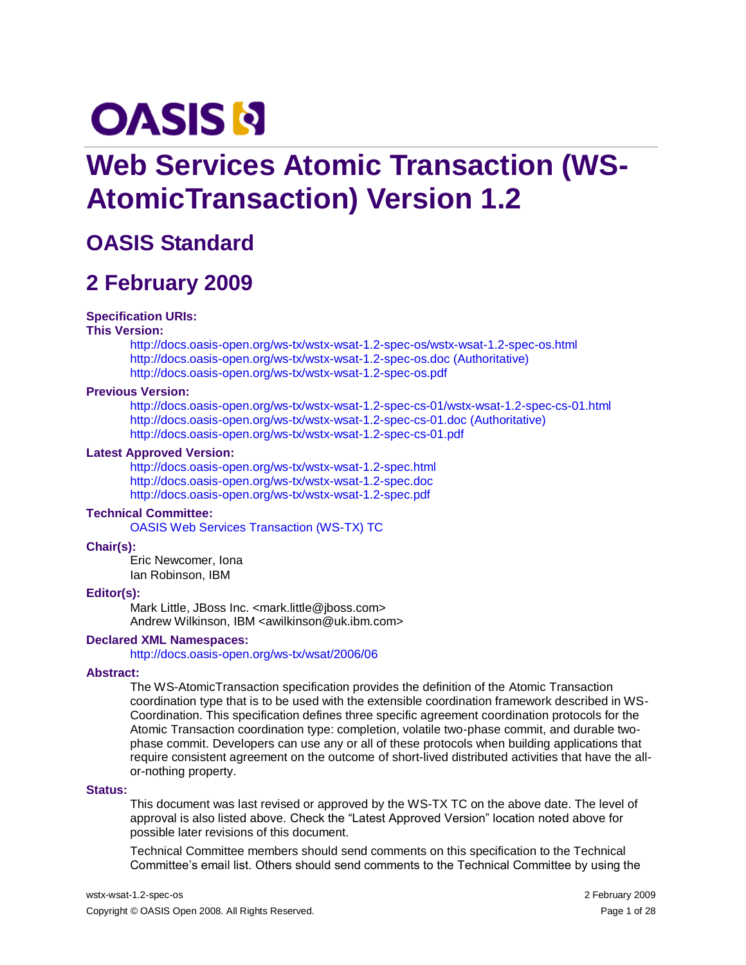# **OASIS N**

## **Web Services Atomic Transaction (WS-AtomicTransaction) Version 1.2**

## **OASIS Standard**

## **2 February 200[9](http://docs.oasis-open.org/ws-tx/wstx-wsat-1.2-spec-wd-01.pdf)**

#### **Specification URIs:**

#### **This Version:**

<http://docs.oasis-open.org/ws-tx/wstx-wsat-1.2-spec-os/wstx-wsat-1.2-spec-os.html> <http://docs.oasis-open.org/ws-tx/wstx-wsat-1.2-spec-os.doc> (Authoritative) <http://docs.oasis-open.org/ws-tx/wstx-wsat-1.2-spec-os.pdf>

#### **Previous Version:**

<http://docs.oasis-open.org/ws-tx/wstx-wsat-1.2-spec-cs-01/wstx-wsat-1.2-spec-cs-01.html> <http://docs.oasis-open.org/ws-tx/wstx-wsat-1.2-spec-cs-01.doc> (Authoritative) <http://docs.oasis-open.org/ws-tx/wstx-wsat-1.2-spec-cs-01.pdf>

#### **Latest Approved Version:**

<http://docs.oasis-open.org/ws-tx/wstx-wsat-1.2-spec.html> <http://docs.oasis-open.org/ws-tx/wstx-wsat-1.2-spec.doc> <http://docs.oasis-open.org/ws-tx/wstx-wsat-1.2-spec.pdf>

#### **Technical Committee:**

[OASIS Web Services Transaction \(WS-TX\) TC](http://www.oasis-open.org/committees/ws-tx/)

#### **Chair(s):**

Eric Newcomer, Iona Ian Robinson, IBM

#### **Editor(s):**

Mark Little, JBoss Inc. <mark.little@jboss.com> Andrew Wilkinson, IBM <awilkinson@uk.ibm.com>

#### **Declared XML Namespaces:**

<http://docs.oasis-open.org/ws-tx/wsat/2006/06>

#### **Abstract:**

The WS-AtomicTransaction specification provides the definition of the Atomic Transaction coordination type that is to be used with the extensible coordination framework described in WS-Coordination. This specification defines three specific agreement coordination protocols for the Atomic Transaction coordination type: completion, volatile two-phase commit, and durable twophase commit. Developers can use any or all of these protocols when building applications that require consistent agreement on the outcome of short-lived distributed activities that have the allor-nothing property.

#### **Status:**

This document was last revised or approved by the WS-TX TC on the above date. The level of approval is also listed above. Check the "Latest Approved Version" location noted above for possible later revisions of this document.

Technical Committee members should send comments on this specification to the Technical Committee"s email list. Others should send comments to the Technical Committee by using the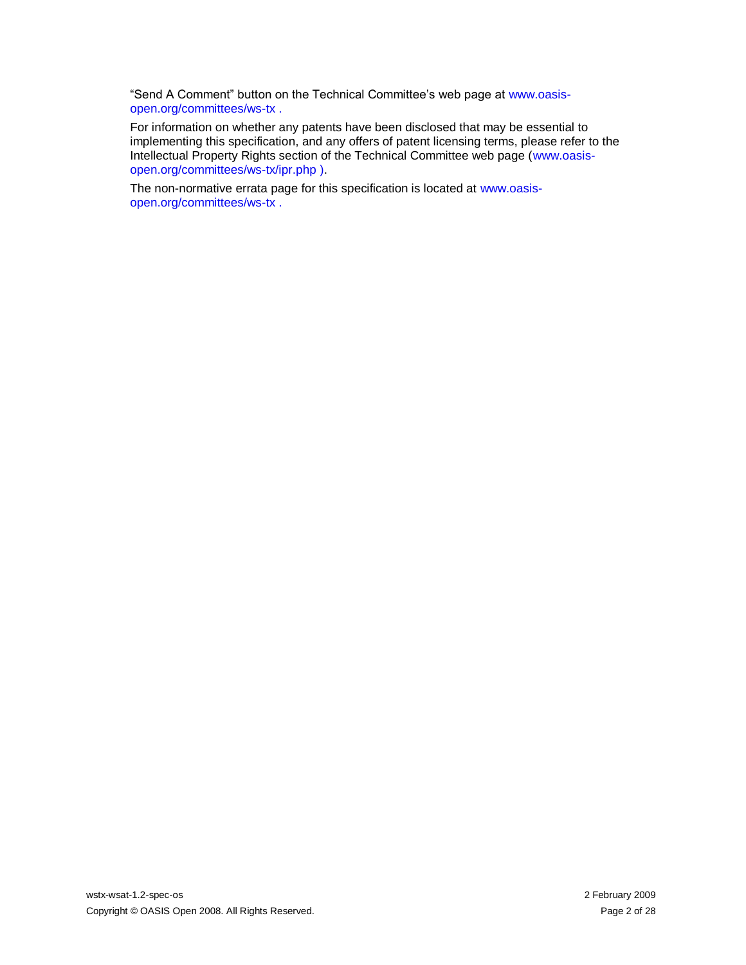"Send A Comment" button on the Technical Committee's web page at [www.oasis](http://www.oasis-open.org/committees/ws-tx)[open.org/committees/ws-tx](http://www.oasis-open.org/committees/ws-tx) .

For information on whether any patents have been disclosed that may be essential to implementing this specification, and any offers of patent licensing terms, please refer to the Intellectual Property Rights section of the Technical Committee web page [\(www.oasis](http://www.oasis-open.org/committees/ws-tx/ipr.php)[open.org/committees/ws-tx/ipr.php](http://www.oasis-open.org/committees/ws-tx/ipr.php) ).

The non-normative errata page for this specification is located at [www.oasis](http://www.oasis-open.org/committees/ws-tx)[open.org/committees/ws-tx](http://www.oasis-open.org/committees/ws-tx) .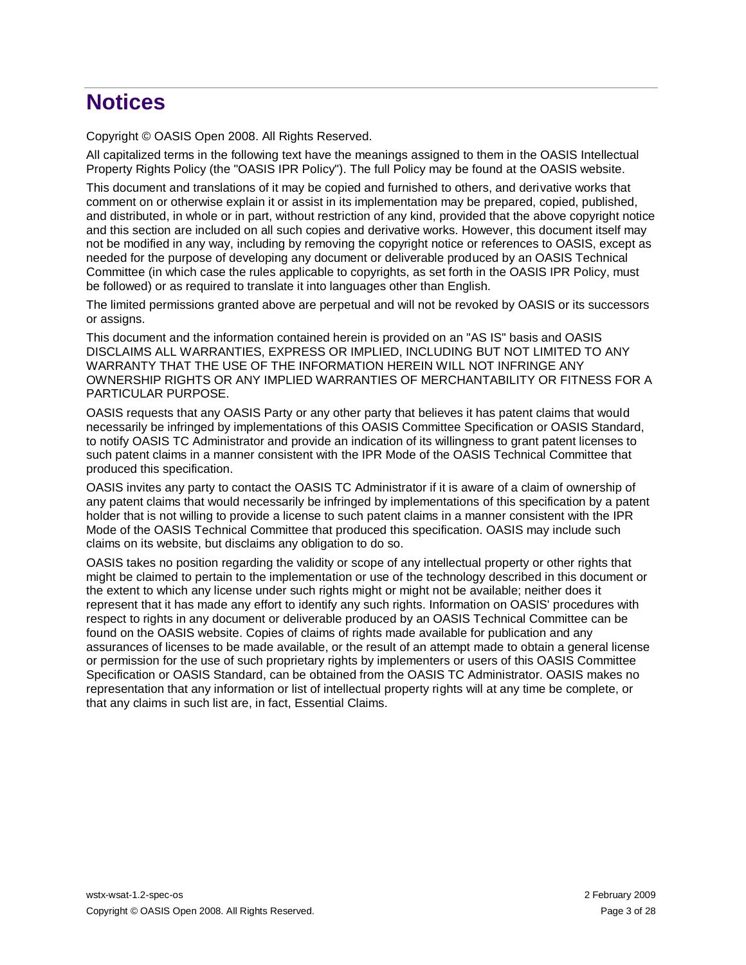## **Notices**

Copyright © OASIS Open 2008. All Rights Reserved.

All capitalized terms in the following text have the meanings assigned to them in the OASIS Intellectual Property Rights Policy (the "OASIS IPR Policy"). The full Policy may be found at the OASIS website.

This document and translations of it may be copied and furnished to others, and derivative works that comment on or otherwise explain it or assist in its implementation may be prepared, copied, published, and distributed, in whole or in part, without restriction of any kind, provided that the above copyright notice and this section are included on all such copies and derivative works. However, this document itself may not be modified in any way, including by removing the copyright notice or references to OASIS, except as needed for the purpose of developing any document or deliverable produced by an OASIS Technical Committee (in which case the rules applicable to copyrights, as set forth in the OASIS IPR Policy, must be followed) or as required to translate it into languages other than English.

The limited permissions granted above are perpetual and will not be revoked by OASIS or its successors or assigns.

This document and the information contained herein is provided on an "AS IS" basis and OASIS DISCLAIMS ALL WARRANTIES, EXPRESS OR IMPLIED, INCLUDING BUT NOT LIMITED TO ANY WARRANTY THAT THE USE OF THE INFORMATION HEREIN WILL NOT INFRINGE ANY OWNERSHIP RIGHTS OR ANY IMPLIED WARRANTIES OF MERCHANTABILITY OR FITNESS FOR A PARTICULAR PURPOSE.

OASIS requests that any OASIS Party or any other party that believes it has patent claims that would necessarily be infringed by implementations of this OASIS Committee Specification or OASIS Standard, to notify OASIS TC Administrator and provide an indication of its willingness to grant patent licenses to such patent claims in a manner consistent with the IPR Mode of the OASIS Technical Committee that produced this specification.

OASIS invites any party to contact the OASIS TC Administrator if it is aware of a claim of ownership of any patent claims that would necessarily be infringed by implementations of this specification by a patent holder that is not willing to provide a license to such patent claims in a manner consistent with the IPR Mode of the OASIS Technical Committee that produced this specification. OASIS may include such claims on its website, but disclaims any obligation to do so.

OASIS takes no position regarding the validity or scope of any intellectual property or other rights that might be claimed to pertain to the implementation or use of the technology described in this document or the extent to which any license under such rights might or might not be available; neither does it represent that it has made any effort to identify any such rights. Information on OASIS' procedures with respect to rights in any document or deliverable produced by an OASIS Technical Committee can be found on the OASIS website. Copies of claims of rights made available for publication and any assurances of licenses to be made available, or the result of an attempt made to obtain a general license or permission for the use of such proprietary rights by implementers or users of this OASIS Committee Specification or OASIS Standard, can be obtained from the OASIS TC Administrator. OASIS makes no representation that any information or list of intellectual property rights will at any time be complete, or that any claims in such list are, in fact, Essential Claims.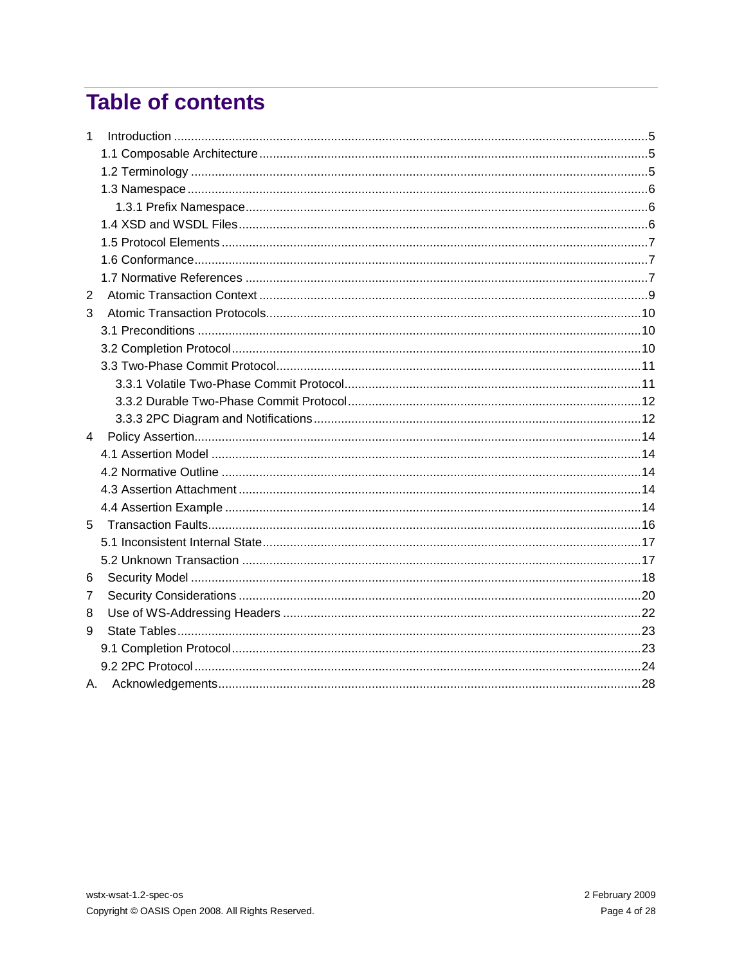## **Table of contents**

| $\mathbf{1}$   |  |
|----------------|--|
|                |  |
|                |  |
|                |  |
|                |  |
|                |  |
|                |  |
|                |  |
|                |  |
| $\overline{2}$ |  |
| 3              |  |
|                |  |
|                |  |
|                |  |
|                |  |
|                |  |
|                |  |
| 4              |  |
|                |  |
|                |  |
|                |  |
|                |  |
| 5              |  |
|                |  |
|                |  |
| 6              |  |
| 7              |  |
| 8              |  |
| 9              |  |
|                |  |
|                |  |
| A.             |  |
|                |  |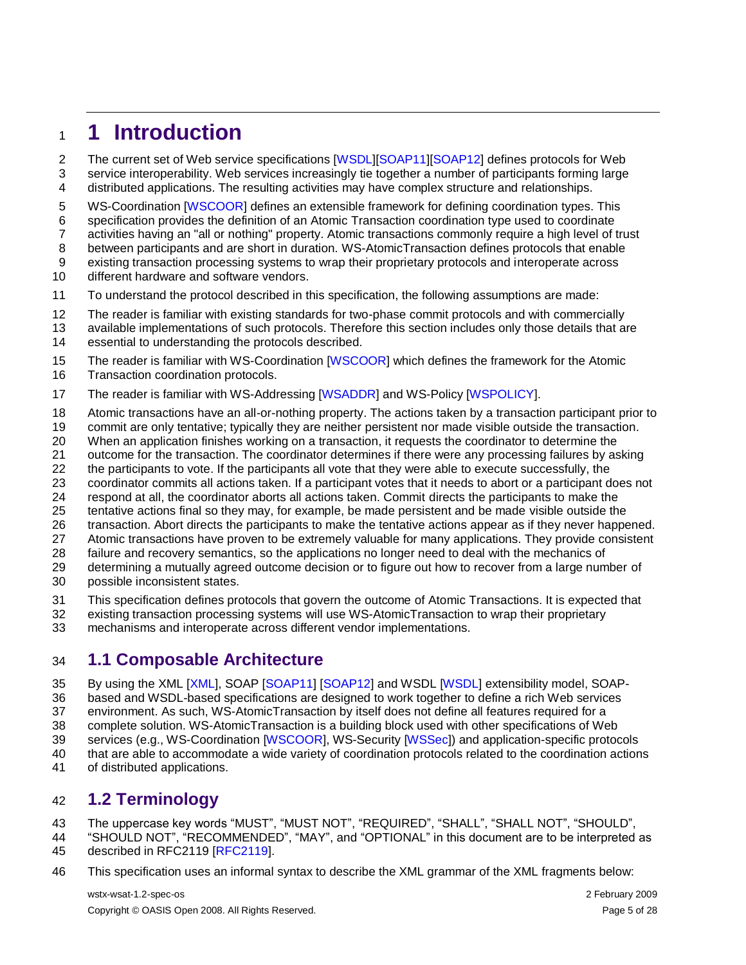### **1 Introduction**

2 The current set of Web service specifications [\[WSDL\]](#page-6-0)[\[SOAP11\]](#page-6-1)[\[SOAP12\]](#page-6-2) defines protocols for Web

service interoperability. Web services increasingly tie together a number of participants forming large

distributed applications. The resulting activities may have complex structure and relationships.

WS-Coordination [\[WSCOOR\]](#page-6-3) defines an extensible framework for defining coordination types. This

specification provides the definition of an Atomic Transaction coordination type used to coordinate

activities having an "all or nothing" property. Atomic transactions commonly require a high level of trust

between participants and are short in duration. WS-AtomicTransaction defines protocols that enable

 existing transaction processing systems to wrap their proprietary protocols and interoperate across different hardware and software vendors.

To understand the protocol described in this specification, the following assumptions are made:

 The reader is familiar with existing standards for two-phase commit protocols and with commercially available implementations of such protocols. Therefore this section includes only those details that are

essential to understanding the protocols described.

 The reader is familiar with WS-Coordination [\[WSCOOR\]](#page-6-3) which defines the framework for the Atomic Transaction coordination protocols.

The reader is familiar with WS-Addressing [\[WSADDR\]](#page-6-4) and WS-Policy [\[WSPOLICY\]](#page-6-5).

Atomic transactions have an all-or-nothing property. The actions taken by a transaction participant prior to

commit are only tentative; typically they are neither persistent nor made visible outside the transaction.

When an application finishes working on a transaction, it requests the coordinator to determine the

21 outcome for the transaction. The coordinator determines if there were any processing failures by asking<br>22 the participants to vote. If the participants all vote that they were able to execute successfully, the

 the participants to vote. If the participants all vote that they were able to execute successfully, the coordinator commits all actions taken. If a participant votes that it needs to abort or a participant does not

respond at all, the coordinator aborts all actions taken. Commit directs the participants to make the

tentative actions final so they may, for example, be made persistent and be made visible outside the

transaction. Abort directs the participants to make the tentative actions appear as if they never happened.

Atomic transactions have proven to be extremely valuable for many applications. They provide consistent

failure and recovery semantics, so the applications no longer need to deal with the mechanics of

 determining a mutually agreed outcome decision or to figure out how to recover from a large number of possible inconsistent states.

This specification defines protocols that govern the outcome of Atomic Transactions. It is expected that

existing transaction processing systems will use WS-AtomicTransaction to wrap their proprietary

mechanisms and interoperate across different vendor implementations.

#### **1.1 Composable Architecture**

35 By using the XML [\[XML\]](#page-7-0), SOAP [\[SOAP11\]](#page-6-1) [\[SOAP12\]](#page-6-2) and WSDL [\[WSDL\]](#page-6-0) extensibility model, SOAP-

based and WSDL-based specifications are designed to work together to define a rich Web services

environment. As such, WS-AtomicTransaction by itself does not define all features required for a

complete solution. WS-AtomicTransaction is a building block used with other specifications of Web

services (e.g., WS-Coordination [\[WSCOOR\]](#page-6-3), WS-Security [\[WSSec\]](#page-6-6)) and application-specific protocols

40 that are able to accommodate a wide variety of coordination protocols related to the coordination actions 41 of distributed applications.

of distributed applications.

#### **1.2 Terminology**

The uppercase key words "MUST", "MUST NOT", "REQUIRED", "SHALL", "SHALL NOT", "SHOULD",

 "SHOULD NOT", "RECOMMENDED", "MAY", and "OPTIONAL" in this document are to be interpreted as 45 described in RFC2119 [\[RFC2119\]](#page-6-7).

This specification uses an informal syntax to describe the XML grammar of the XML fragments below: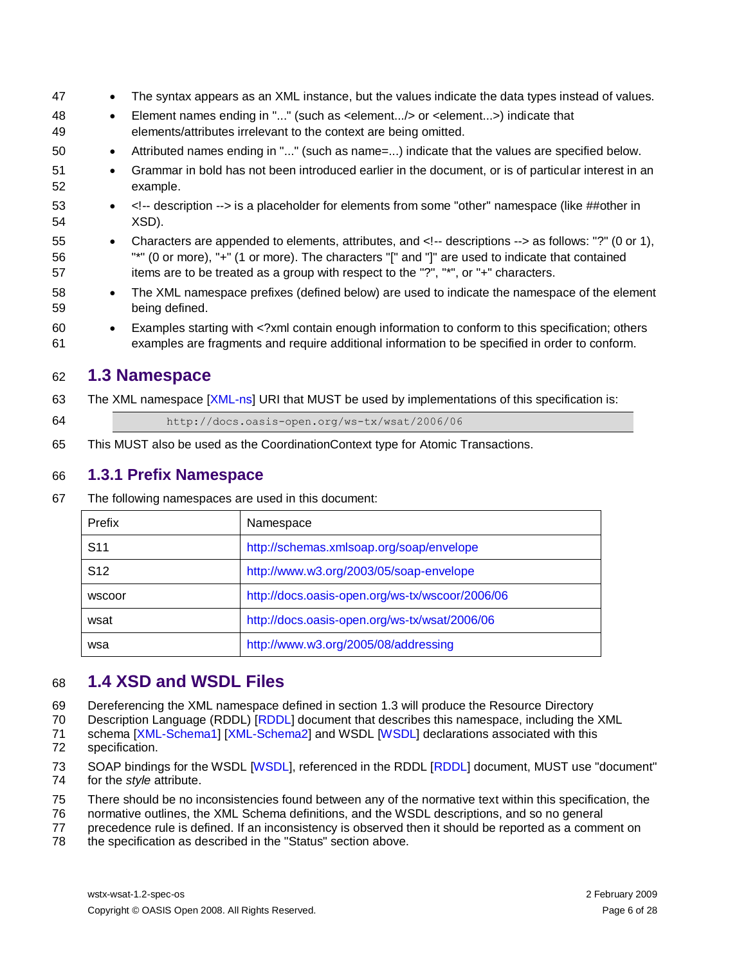- 47 The syntax appears as an XML instance, but the values indicate the data types instead of values. 48 Element names ending in "..." (such as <element.../> or <element...>) indicate that 49 elements/attributes irrelevant to the context are being omitted. 50 • Attributed names ending in "..." (such as name=...) indicate that the values are specified below. 51 **•** Grammar in bold has not been introduced earlier in the document, or is of particular interest in an 52 example. 53 • <!-- description --> is a placeholder for elements from some "other" namespace (like ##other in 54 XSD).
- 55 Characters are appended to elements, attributes, and <!-- descriptions --> as follows: "?" (0 or 1), 56 "\*" (0 or more), "+" (1 or more). The characters "[" and "]" are used to indicate that contained 57 items are to be treated as a group with respect to the "?", "\*", or "+" characters.
- 58 The XML namespace prefixes (defined below) are used to indicate the namespace of the element 59 being defined.
- 60 Examples starting with <?xml contain enough information to conform to this specification; others 61 examples are fragments and require additional information to be specified in order to conform.

#### <span id="page-5-0"></span>62 **1.3 Namespace**

- 63 The XML namespace [\[XML-ns\]](#page-7-1) URI that MUST be used by implementations of this specification is:
- 64 http://docs.oasis-open.org/ws-tx/wsat/2006/06
- 65 This MUST also be used as the CoordinationContext type for Atomic Transactions.

#### 66 **1.3.1 Prefix Namespace**

67 The following namespaces are used in this document:

| Prefix          | Namespace                                       |
|-----------------|-------------------------------------------------|
| S <sub>11</sub> | http://schemas.xmlsoap.org/soap/envelope        |
| S <sub>12</sub> | http://www.w3.org/2003/05/soap-envelope         |
| wscoor          | http://docs.oasis-open.org/ws-tx/wscoor/2006/06 |
| wsat            | http://docs.oasis-open.org/ws-tx/wsat/2006/06   |
| wsa             | http://www.w3.org/2005/08/addressing            |

#### 68 **1.4 XSD and WSDL Files**

- 69 Dereferencing the XML namespace defined in section [1.3](#page-5-0) will produce the Resource Directory
- 70 Description Language (RDDL) [\[RDDL\]](#page-6-8) document that describes this namespace, including the XML
- 71 schema [\[XML-Schema1\]](#page-7-2) [\[XML-Schema2\]](#page-7-3) and WSDL [\[WSDL\]](#page-6-0) declarations associated with this 72 specification.
- 73 SOAP bindings for the WSDL [\[WSDL\]](#page-6-0), referenced in the RDDL [\[RDDL\]](#page-6-8) document, MUST use "document"<br>74 for the *style* attribute. for the *style* attribute.
- 75 There should be no inconsistencies found between any of the normative text within this specification, the
- 76 normative outlines, the XML Schema definitions, and the WSDL descriptions, and so no general
- 77 precedence rule is defined. If an inconsistency is observed then it should be reported as a comment on
- 78 the specification as described in the "Status" section above.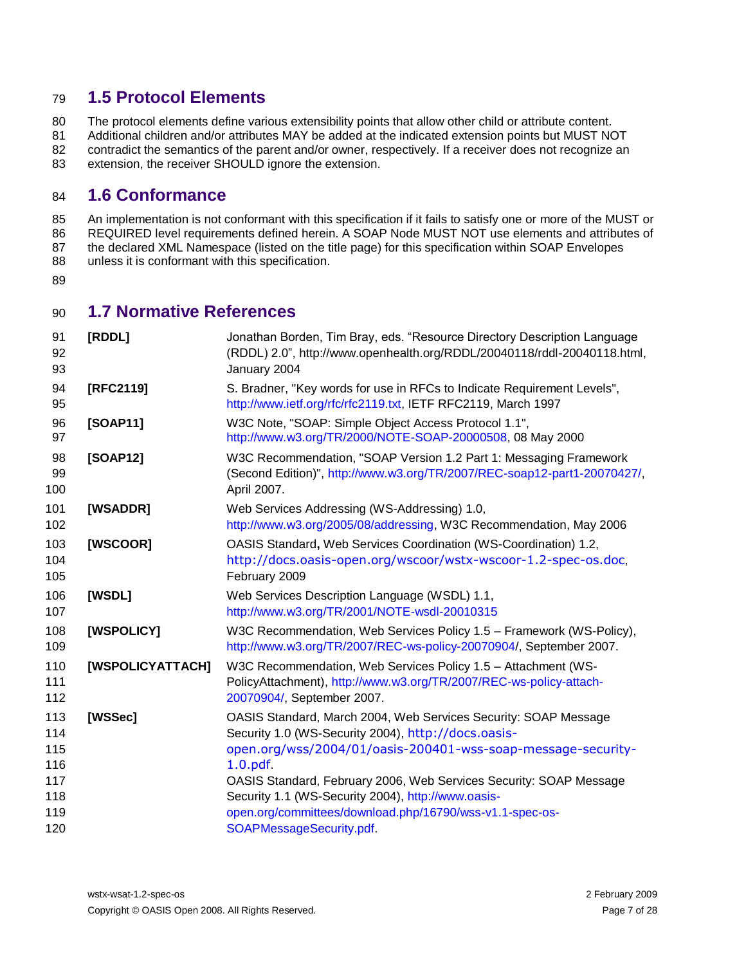#### **1.5 Protocol Elements**

The protocol elements define various extensibility points that allow other child or attribute content.

 Additional children and/or attributes MAY be added at the indicated extension points but MUST NOT 82 contradict the semantics of the parent and/or owner, respectively. If a receiver does not recognize an

83 extension, the receiver SHOULD ignore the extension.

#### **1.6 Conformance**

 An implementation is not conformant with this specification if it fails to satisfy one or more of the MUST or 86 REQUIRED level requirements defined herein. A SOAP Node MUST NOT use elements and attributes of 87 the declared XML Namespace (listed on the title page) for this specification within SOAP Envelopes unless it is conformant with this specification.

#### **1.7 Normative References**

<span id="page-6-9"></span><span id="page-6-8"></span><span id="page-6-7"></span><span id="page-6-6"></span><span id="page-6-5"></span><span id="page-6-4"></span><span id="page-6-3"></span><span id="page-6-2"></span><span id="page-6-1"></span><span id="page-6-0"></span>

| 91<br>92<br>93           | [RDDL]           | Jonathan Borden, Tim Bray, eds. "Resource Directory Description Language<br>(RDDL) 2.0", http://www.openhealth.org/RDDL/20040118/rddl-20040118.html,<br>January 2004                              |
|--------------------------|------------------|---------------------------------------------------------------------------------------------------------------------------------------------------------------------------------------------------|
| 94<br>95                 | [RFC2119]        | S. Bradner, "Key words for use in RFCs to Indicate Requirement Levels",<br>http://www.ietf.org/rfc/rfc2119.txt, IETF RFC2119, March 1997                                                          |
| 96<br>97                 | [SOAP11]         | W3C Note, "SOAP: Simple Object Access Protocol 1.1",<br>http://www.w3.org/TR/2000/NOTE-SOAP-20000508, 08 May 2000                                                                                 |
| 98<br>99<br>100          | [SOAP12]         | W3C Recommendation, "SOAP Version 1.2 Part 1: Messaging Framework<br>(Second Edition)", http://www.w3.org/TR/2007/REC-soap12-part1-20070427/,<br>April 2007.                                      |
| 101<br>102               | [WSADDR]         | Web Services Addressing (WS-Addressing) 1.0,<br>http://www.w3.org/2005/08/addressing, W3C Recommendation, May 2006                                                                                |
| 103<br>104<br>105        | [WSCOOR]         | OASIS Standard, Web Services Coordination (WS-Coordination) 1.2,<br>http://docs.oasis-open.org/wscoor/wstx-wscoor-1.2-spec-os.doc,<br>February 2009                                               |
| 106<br>107               | [WSDL]           | Web Services Description Language (WSDL) 1.1,<br>http://www.w3.org/TR/2001/NOTE-wsdl-20010315                                                                                                     |
| 108<br>109               | [WSPOLICY]       | W3C Recommendation, Web Services Policy 1.5 - Framework (WS-Policy),<br>http://www.w3.org/TR/2007/REC-ws-policy-20070904/, September 2007.                                                        |
| 110<br>111<br>112        | [WSPOLICYATTACH] | W3C Recommendation, Web Services Policy 1.5 - Attachment (WS-<br>PolicyAttachment), http://www.w3.org/TR/2007/REC-ws-policy-attach-<br>20070904/, September 2007.                                 |
| 113<br>114<br>115<br>116 | [WSSec]          | OASIS Standard, March 2004, Web Services Security: SOAP Message<br>Security 1.0 (WS-Security 2004), http://docs.oasis-<br>open.org/wss/2004/01/oasis-200401-wss-soap-message-security-<br>1.0.pdf |
| 117<br>118<br>119        |                  | OASIS Standard, February 2006, Web Services Security: SOAP Message<br>Security 1.1 (WS-Security 2004), http://www.oasis-<br>open.org/committees/download.php/16790/wss-v1.1-spec-os-              |
| 120                      |                  | SOAPMessageSecurity.pdf.                                                                                                                                                                          |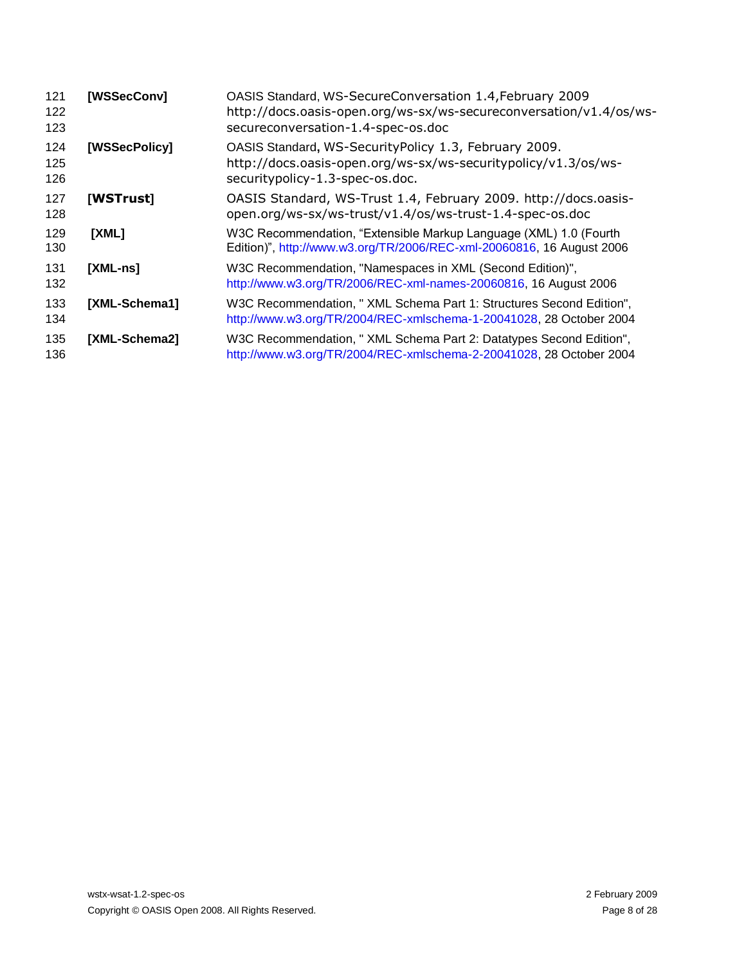<span id="page-7-5"></span><span id="page-7-4"></span><span id="page-7-3"></span><span id="page-7-2"></span><span id="page-7-1"></span><span id="page-7-0"></span>

| 121<br>122<br>123 | [WSSecConv]   | OASIS Standard, WS-SecureConversation 1.4, February 2009<br>http://docs.oasis-open.org/ws-sx/ws-secureconversation/v1.4/os/ws-<br>secureconversation-1.4-spec-os.doc |
|-------------------|---------------|----------------------------------------------------------------------------------------------------------------------------------------------------------------------|
| 124<br>125<br>126 | [WSSecPolicy] | OASIS Standard, WS-SecurityPolicy 1.3, February 2009.<br>http://docs.oasis-open.org/ws-sx/ws-securitypolicy/v1.3/os/ws-<br>securitypolicy-1.3-spec-os.doc.           |
| 127<br>128        | [WSTrust]     | OASIS Standard, WS-Trust 1.4, February 2009. http://docs.oasis-<br>open.org/ws-sx/ws-trust/v1.4/os/ws-trust-1.4-spec-os.doc                                          |
| 129<br>130        | [XML]         | W3C Recommendation, "Extensible Markup Language (XML) 1.0 (Fourth<br>Edition)", http://www.w3.org/TR/2006/REC-xml-20060816, 16 August 2006                           |
| 131<br>132        | $[XML-ns]$    | W3C Recommendation, "Namespaces in XML (Second Edition)",<br>http://www.w3.org/TR/2006/REC-xml-names-20060816, 16 August 2006                                        |
| 133<br>134        | [XML-Schema1] | W3C Recommendation, " XML Schema Part 1: Structures Second Edition",<br>http://www.w3.org/TR/2004/REC-xmlschema-1-20041028, 28 October 2004                          |
| 135<br>136        | [XML-Schema2] | W3C Recommendation, "XML Schema Part 2: Datatypes Second Edition",<br>http://www.w3.org/TR/2004/REC-xmlschema-2-20041028, 28 October 2004                            |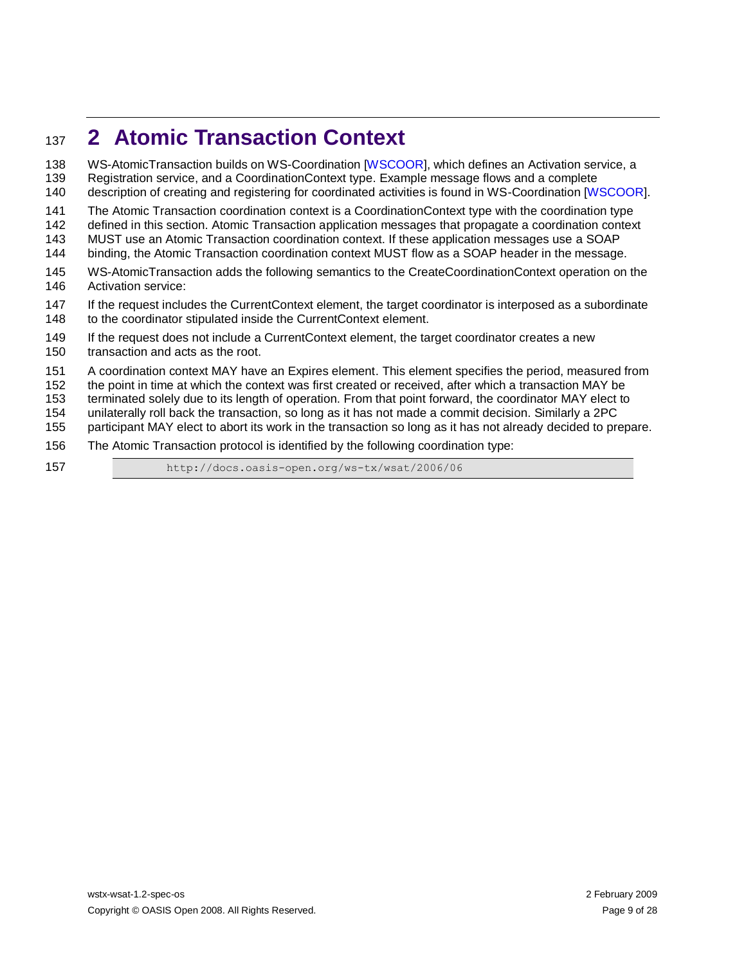## **2 Atomic Transaction Context**

138 WS-AtomicTransaction builds on WS-Coordination [\[WSCOOR\]](#page-6-3), which defines an Activation service, a Registration service, and a CoordinationContext type. Example message flows and a complete description of creating and registering for coordinated activities is found in WS-Coordination [\[WSCOOR\]](#page-6-3). The Atomic Transaction coordination context is a CoordinationContext type with the coordination type defined in this section. Atomic Transaction application messages that propagate a coordination context MUST use an Atomic Transaction coordination context. If these application messages use a SOAP binding, the Atomic Transaction coordination context MUST flow as a SOAP header in the message. WS-AtomicTransaction adds the following semantics to the CreateCoordinationContext operation on the Activation service: If the request includes the CurrentContext element, the target coordinator is interposed as a subordinate 148 to the coordinator stipulated inside the CurrentContext element. If the request does not include a CurrentContext element, the target coordinator creates a new transaction and acts as the root. A coordination context MAY have an Expires element. This element specifies the period, measured from the point in time at which the context was first created or received, after which a transaction MAY be terminated solely due to its length of operation. From that point forward, the coordinator MAY elect to unilaterally roll back the transaction, so long as it has not made a commit decision. Similarly a 2PC participant MAY elect to abort its work in the transaction so long as it has not already decided to prepare. The Atomic Transaction protocol is identified by the following coordination type: http://docs.oasis-open.org/ws-tx/wsat/2006/06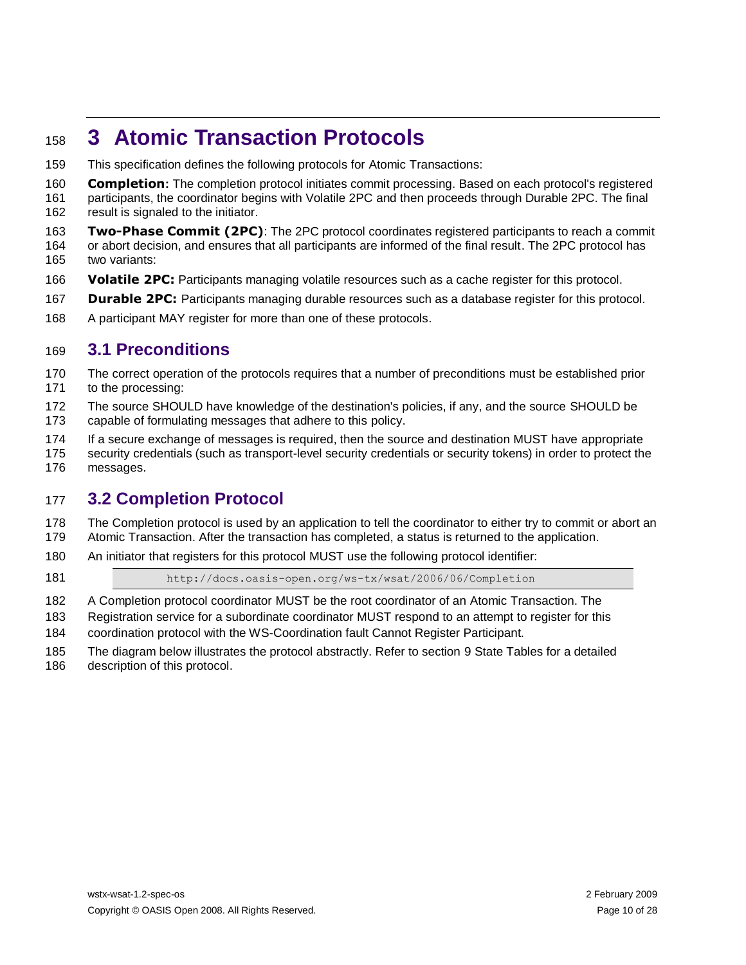## **3 Atomic Transaction Protocols**

- This specification defines the following protocols for Atomic Transactions:
- **Completion:** The completion protocol initiates commit processing. Based on each protocol's registered
- participants, the coordinator begins with Volatile 2PC and then proceeds through Durable 2PC. The final result is signaled to the initiator.
- **Two-Phase Commit (2PC)**: The 2PC protocol coordinates registered participants to reach a commit or abort decision, and ensures that all participants are informed of the final result. The 2PC protocol has two variants:
- **Volatile 2PC:** Participants managing volatile resources such as a cache register for this protocol.
- **Durable 2PC:** Participants managing durable resources such as a database register for this protocol.
- 168 A participant MAY register for more than one of these protocols.

#### **3.1 Preconditions**

- The correct operation of the protocols requires that a number of preconditions must be established prior to the processing:
- The source SHOULD have knowledge of the destination's policies, if any, and the source SHOULD be capable of formulating messages that adhere to this policy.
- If a secure exchange of messages is required, then the source and destination MUST have appropriate
- security credentials (such as transport-level security credentials or security tokens) in order to protect the messages.

#### **3.2 Completion Protocol**

- 178 The Completion protocol is used by an application to tell the coordinator to either try to commit or abort an Atomic Transaction. After the transaction has completed, a status is returned to the application.
- An initiator that registers for this protocol MUST use the following protocol identifier:
- 

http://docs.oasis-open.org/ws-tx/wsat/2006/06/Completion

- A Completion protocol coordinator MUST be the root coordinator of an Atomic Transaction. The
- Registration service for a subordinate coordinator MUST respond to an attempt to register for this coordination protocol with the WS-Coordination fault Cannot Register Participant.
- The diagram below illustrates the protocol abstractly. Refer to section [9](#page-22-0) [State Tables](#page-22-0) for a detailed
- description of this protocol.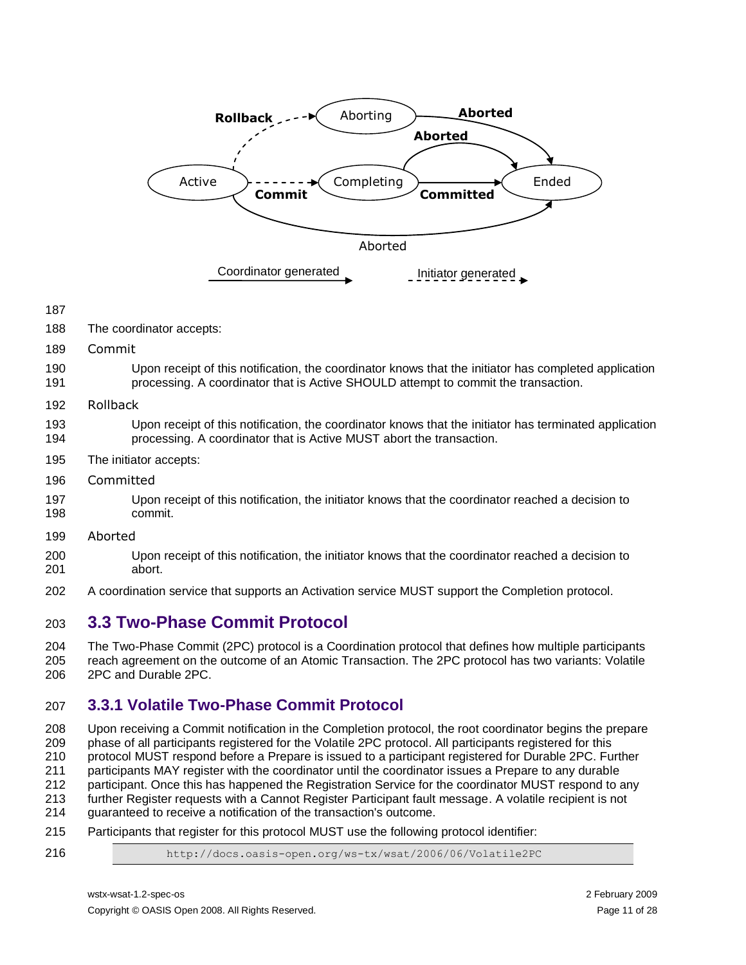

- 
- The coordinator accepts:
- Commit
- Upon receipt of this notification, the coordinator knows that the initiator has completed application processing. A coordinator that is Active SHOULD attempt to commit the transaction.
- Rollback
- Upon receipt of this notification, the coordinator knows that the initiator has terminated application processing. A coordinator that is Active MUST abort the transaction.
- The initiator accepts:
- Committed
- Upon receipt of this notification, the initiator knows that the coordinator reached a decision to commit.
- Aborted
- Upon receipt of this notification, the initiator knows that the coordinator reached a decision to abort.
- A coordination service that supports an Activation service MUST support the Completion protocol.

#### **3.3 Two-Phase Commit Protocol**

 The Two-Phase Commit (2PC) protocol is a Coordination protocol that defines how multiple participants reach agreement on the outcome of an Atomic Transaction. The 2PC protocol has two variants: Volatile 2PC and Durable 2PC.

#### **3.3.1 Volatile Two-Phase Commit Protocol**

 Upon receiving a Commit notification in the Completion protocol, the root coordinator begins the prepare phase of all participants registered for the Volatile 2PC protocol. All participants registered for this protocol MUST respond before a Prepare is issued to a participant registered for Durable 2PC. Further participants MAY register with the coordinator until the coordinator issues a Prepare to any durable participant. Once this has happened the Registration Service for the coordinator MUST respond to any further Register requests with a Cannot Register Participant fault message. A volatile recipient is not guaranteed to receive a notification of the transaction's outcome.

- Participants that register for this protocol MUST use the following protocol identifier:
- http://docs.oasis-open.org/ws-tx/wsat/2006/06/Volatile2PC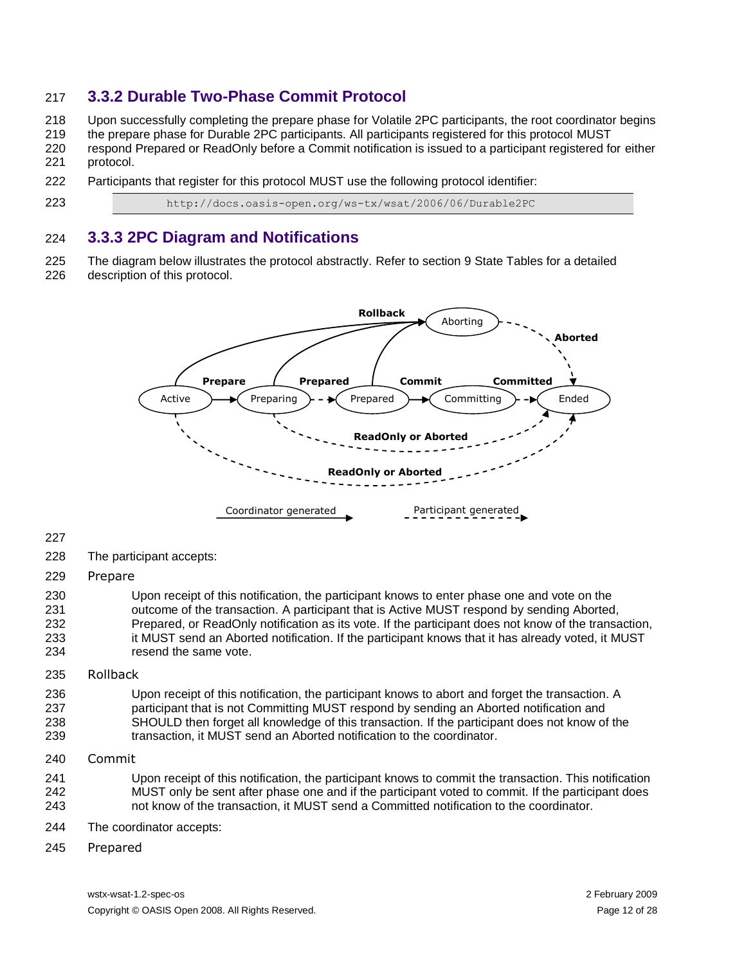#### **3.3.2 Durable Two-Phase Commit Protocol**

Upon successfully completing the prepare phase for Volatile 2PC participants, the root coordinator begins

the prepare phase for Durable 2PC participants. All participants registered for this protocol MUST

 respond Prepared or ReadOnly before a Commit notification is issued to a participant registered for either protocol.

Participants that register for this protocol MUST use the following protocol identifier:

http://docs.oasis-open.org/ws-tx/wsat/2006/06/Durable2PC

#### **3.3.3 2PC Diagram and Notifications**

 The diagram below illustrates the protocol abstractly. Refer to section [9](#page-22-0) [State Tables](#page-22-0) for a detailed description of this protocol.



- The participant accepts:
- Prepare

 Upon receipt of this notification, the participant knows to enter phase one and vote on the outcome of the transaction. A participant that is Active MUST respond by sending Aborted, Prepared, or ReadOnly notification as its vote. If the participant does not know of the transaction, it MUST send an Aborted notification. If the participant knows that it has already voted, it MUST resend the same vote.

Rollback

 Upon receipt of this notification, the participant knows to abort and forget the transaction. A participant that is not Committing MUST respond by sending an Aborted notification and SHOULD then forget all knowledge of this transaction. If the participant does not know of the transaction, it MUST send an Aborted notification to the coordinator.

Commit

 Upon receipt of this notification, the participant knows to commit the transaction. This notification MUST only be sent after phase one and if the participant voted to commit. If the participant does not know of the transaction, it MUST send a Committed notification to the coordinator.

- The coordinator accepts:
- Prepared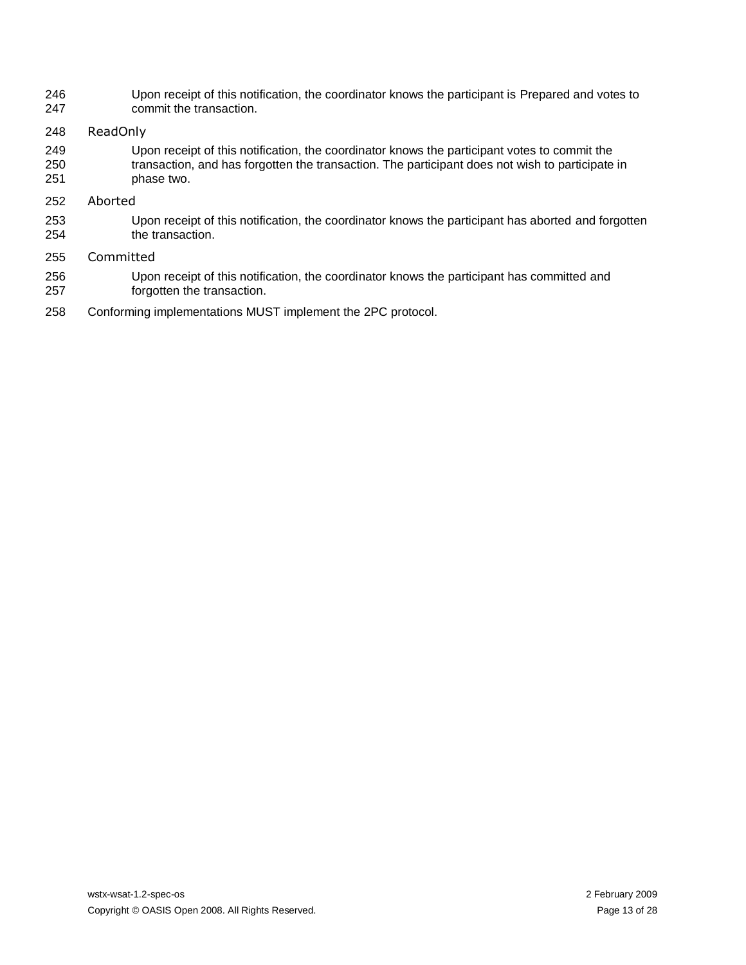Upon receipt of this notification, the coordinator knows the participant is Prepared and votes to commit the transaction.

#### ReadOnly

- Upon receipt of this notification, the coordinator knows the participant votes to commit the transaction, and has forgotten the transaction. The participant does not wish to participate in phase two.
- Aborted
- Upon receipt of this notification, the coordinator knows the participant has aborted and forgotten the transaction.
- Committed
- Upon receipt of this notification, the coordinator knows the participant has committed and forgotten the transaction.
- Conforming implementations MUST implement the 2PC protocol.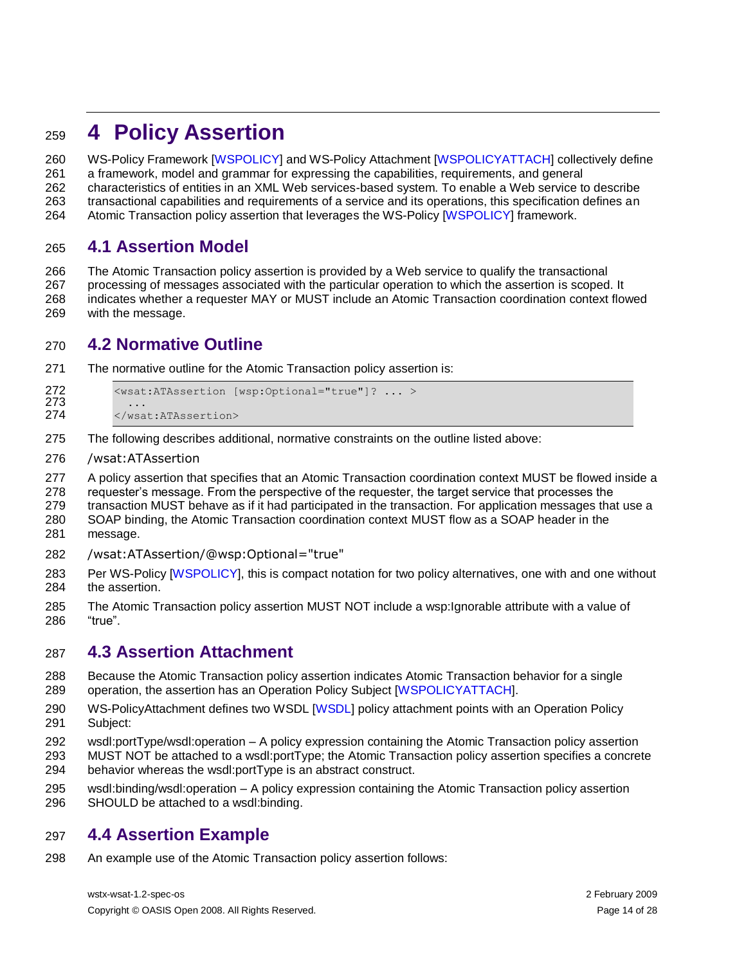## **4 Policy Assertion**

WS-Policy Framework [\[WSPOLICY\]](#page-6-5) and WS-Policy Attachment [\[WSPOLICYATTACH\]](#page-6-9) collectively define

- a framework, model and grammar for expressing the capabilities, requirements, and general
- characteristics of entities in an XML Web services-based system. To enable a Web service to describe
- transactional capabilities and requirements of a service and its operations, this specification defines an
- Atomic Transaction policy assertion that leverages the WS-Policy [\[WSPOLICY\]](#page-6-5) framework.

#### **4.1 Assertion Model**

 The Atomic Transaction policy assertion is provided by a Web service to qualify the transactional processing of messages associated with the particular operation to which the assertion is scoped. It indicates whether a requester MAY or MUST include an Atomic Transaction coordination context flowed with the message.

#### **4.2 Normative Outline**

The normative outline for the Atomic Transaction policy assertion is:

```
272 <wsat:ATAssertion [wsp:Optional="true"]? ... >
273 ...<br>274 </wsa
```
- </wsat:ATAssertion>
- The following describes additional, normative constraints on the outline listed above:
- /wsat:ATAssertion
- A policy assertion that specifies that an Atomic Transaction coordination context MUST be flowed inside a
- requester"s message. From the perspective of the requester, the target service that processes the
- transaction MUST behave as if it had participated in the transaction. For application messages that use a
- SOAP binding, the Atomic Transaction coordination context MUST flow as a SOAP header in the message.
- /wsat:ATAssertion/@wsp:Optional="true"
- Per WS-Policy [\[WSPOLICY\]](#page-6-5), this is compact notation for two policy alternatives, one with and one without the assertion.
- The Atomic Transaction policy assertion MUST NOT include a wsp:Ignorable attribute with a value of "true".

#### **4.3 Assertion Attachment**

- Because the Atomic Transaction policy assertion indicates Atomic Transaction behavior for a single operation, the assertion has an Operation Policy Subject [\[WSPOLICYATTACH\]](#page-6-9).
- 290 WS-PolicyAttachment defines two WSDL [\[WSDL\]](#page-6-0) policy attachment points with an Operation Policy Subject:
- wsdl:portType/wsdl:operation A policy expression containing the Atomic Transaction policy assertion
- MUST NOT be attached to a wsdl:portType; the Atomic Transaction policy assertion specifies a concrete behavior whereas the wsdl:portType is an abstract construct.
- wsdl:binding/wsdl:operation A policy expression containing the Atomic Transaction policy assertion SHOULD be attached to a wsdl:binding.

#### **4.4 Assertion Example**

An example use of the Atomic Transaction policy assertion follows: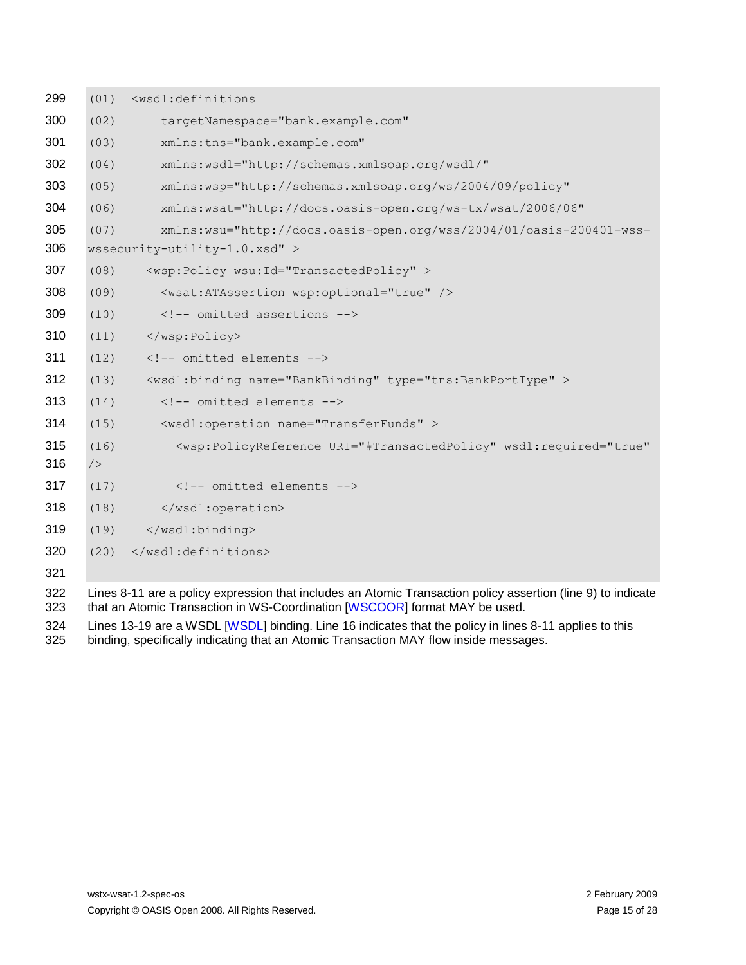| 299 | (01) | <wsdl:definitions< th=""></wsdl:definitions<>                                                                |
|-----|------|--------------------------------------------------------------------------------------------------------------|
| 300 | (02) | targetNamespace="bank.example.com"                                                                           |
| 301 | (03) | xmlns:tns="bank.example.com"                                                                                 |
| 302 | (04) | xmlns:wsdl="http://schemas.xmlsoap.org/wsdl/"                                                                |
| 303 | (05) | xmlns:wsp="http://schemas.xmlsoap.org/ws/2004/09/policy"                                                     |
| 304 | (06) | xmlns:wsat="http://docs.oasis-open.org/ws-tx/wsat/2006/06"                                                   |
| 305 | (07) | xmlns:wsu="http://docs.oasis-open.org/wss/2004/01/oasis-200401-wss-                                          |
| 306 |      | wssecurity-utility-1.0.xsd" >                                                                                |
| 307 | (08) | <wsp:policy wsu:id="TransactedPolicy"></wsp:policy>                                                          |
| 308 | (09) | <wsat: atassertion="" optional="true" wsp:=""></wsat:>                                                       |
| 309 | (10) | omitted assertions                                                                                           |
| 310 | (11) |                                                                                                              |
| 311 | (12) | omitted elements                                                                                             |
| 312 | (13) | <wsdl:binding name="BankBinding" type="tns:BankPortType"></wsdl:binding>                                     |
| 313 | (14) | omitted elements                                                                                             |
| 314 | (15) | <wsdl:operation name="TransferFunds"></wsdl:operation>                                                       |
| 315 | (16) | <wsp:policyreference <="" th="" uri="#TransactedPolicy" wsdl:required="true"></wsp:policyreference>          |
| 316 | /    |                                                                                                              |
| 317 | (17) | omitted elements                                                                                             |
| 318 | (18) |                                                                                                              |
| 319 | (19) |                                                                                                              |
| 320 | (20) |                                                                                                              |
| 321 |      |                                                                                                              |
| 322 |      | Lines 8-11 are a policy expression that includes an Atomic Transaction policy assertion (line 9) to indicate |

323 that an Atomic Transaction in WS-Coordination [\[WSCOOR\]](#page-6-3) format MAY be used.

324 Lines 13-19 are a WSDL [\[WSDL\]](#page-6-0) binding. Line 16 indicates that the policy in lines 8-11 applies to this binding, specifically indicating that an Atomic Transaction MAY flow inside messages.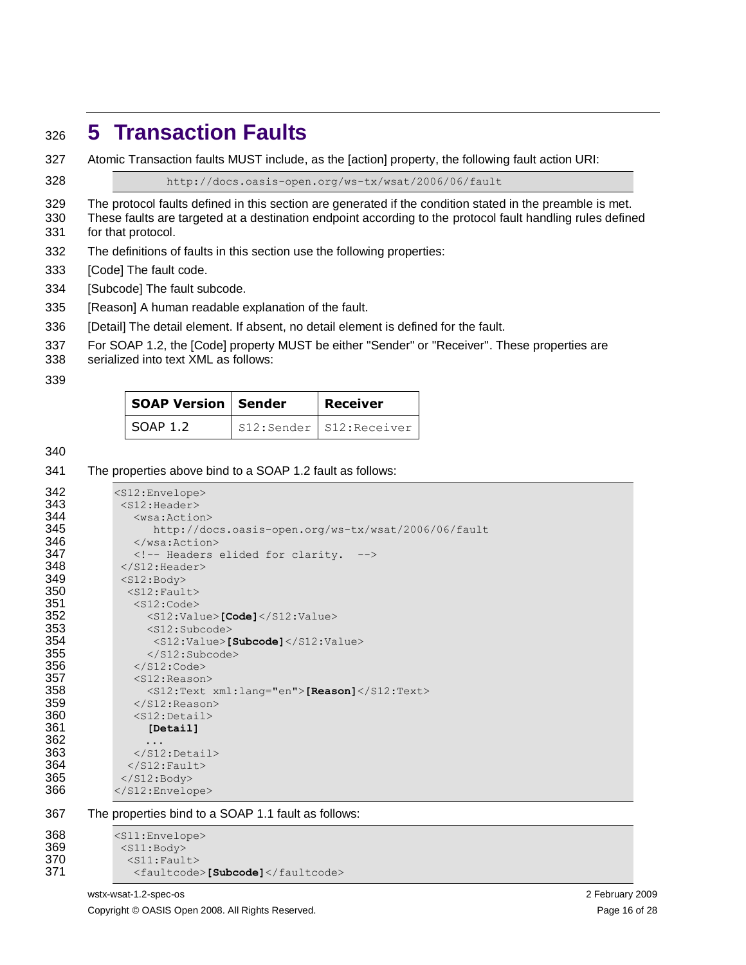### <span id="page-15-0"></span>**5 Transaction Faults**

Atomic Transaction faults MUST include, as the [action] property, the following fault action URI:

http://docs.oasis-open.org/ws-tx/wsat/2006/06/fault

The protocol faults defined in this section are generated if the condition stated in the preamble is met.

- These faults are targeted at a destination endpoint according to the protocol fault handling rules defined for that protocol.
- The definitions of faults in this section use the following properties:
- [Code] The fault code.
- [Subcode] The fault subcode.
- [Reason] A human readable explanation of the fault.
- [Detail] The detail element. If absent, no detail element is defined for the fault.
- For SOAP 1.2, the [Code] property MUST be either "Sender" or "Receiver". These properties are
- serialized into text XML as follows:
- 

| <b>SOAP Version   Sender</b> | Receiver                |  |
|------------------------------|-------------------------|--|
| SOAP 1.2                     | S12:Sender S12:Receiver |  |

The properties above bind to a SOAP 1.2 fault as follows:

| 342           | $<$ S12:Envelope>                                   |
|---------------|-----------------------------------------------------|
| 343           | $<$ S12:Header>                                     |
| 344           | $<$ wsa: Action $>$                                 |
| 345           | http://docs.oasis-open.org/ws-tx/wsat/2006/06/fault |
| 346           | $\langle$ /wsa:Action>                              |
| 347           | <!-- Headers elided for clarity.<br> $--&>$         |
| 348           | $\langle$ /S12:Header>                              |
| 349           | $<$ S12:Body>                                       |
| 350           | $<$ S12: Fault>                                     |
| 351           | $<$ S12:Code>                                       |
| 352           | $<$ S12:Value>[Code] $<$ /S12:Value>                |
| 353           | $<$ S12:Subcode>                                    |
| 354           | $<$ S12:Value>[Subcode] $<$ /S12:Value>             |
| 355           | $\langle$ /S12:Subcode>                             |
| 356           | $\langle$ /S12:Code>                                |
| 357           | $<$ S12: Reason>                                    |
| 358           | <s12:text xml:lang="en">[Reason]</s12:text>         |
| 359           | $\langle$ /S12:Reason>                              |
| 360           | $<$ S12:Detail>                                     |
| 361           | [Detail]                                            |
| 362           |                                                     |
| 363           | $\langle$ /S12:Detail>                              |
| 364           | $\langle$ /S12: Fault>                              |
| 365           | $\langle$ /S12:Body>                                |
| 366           |                                                     |
| 367           | The properties bind to a SOAP 1.1 fault as follows: |
| $\sim$ $\sim$ |                                                     |

| 368 | $<$ S $11$ : Envelope>           |
|-----|----------------------------------|
| 369 | $<$ S $11$ :Body $>$             |
| 370 | $<$ S11: Fault>                  |
| 371 | <faultcode>[Subcode]</faultcode> |
|     |                                  |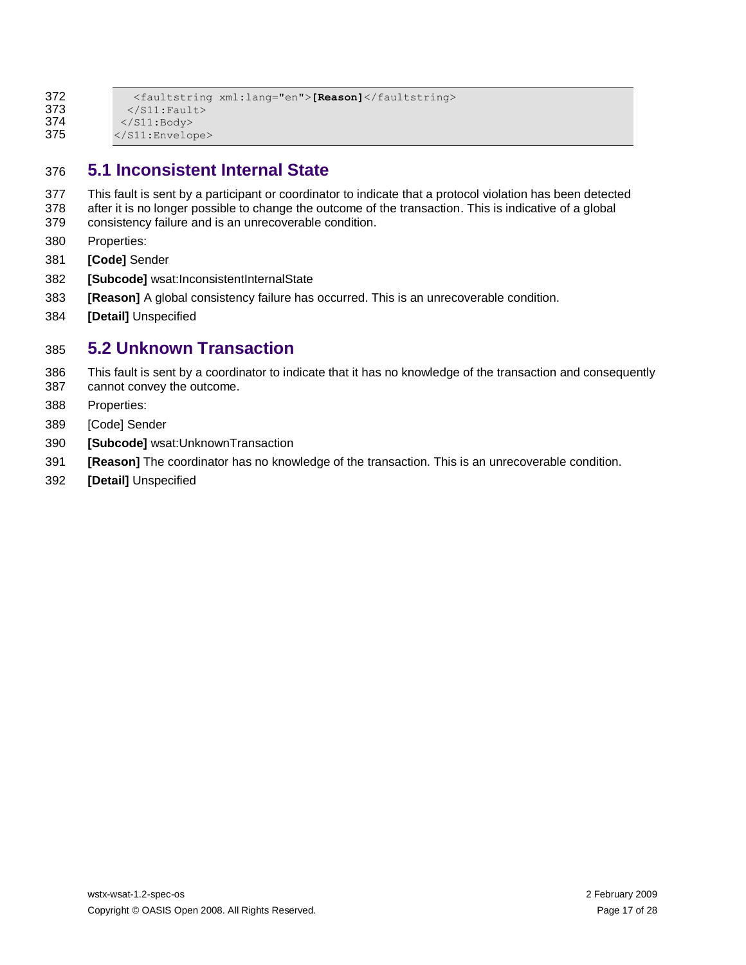```
372 <faultstring xml:lang="en">[Reason]</faultstring>
373 </S11:Fault>
374 </S11:Body>
375 </S11:Envelope>
```
#### **5.1 Inconsistent Internal State**

- This fault is sent by a participant or coordinator to indicate that a protocol violation has been detected after it is no longer possible to change the outcome of the transaction. This is indicative of a global
- consistency failure and is an unrecoverable condition.
- Properties:
- **[Code]** Sender
- **[Subcode]** wsat:InconsistentInternalState
- **[Reason]** A global consistency failure has occurred. This is an unrecoverable condition.
- **[Detail]** Unspecified

#### **5.2 Unknown Transaction**

- This fault is sent by a coordinator to indicate that it has no knowledge of the transaction and consequently cannot convey the outcome.
- Properties:
- [Code] Sender
- **[Subcode]** wsat:UnknownTransaction
- **[Reason]** The coordinator has no knowledge of the transaction. This is an unrecoverable condition.
- **[Detail]** Unspecified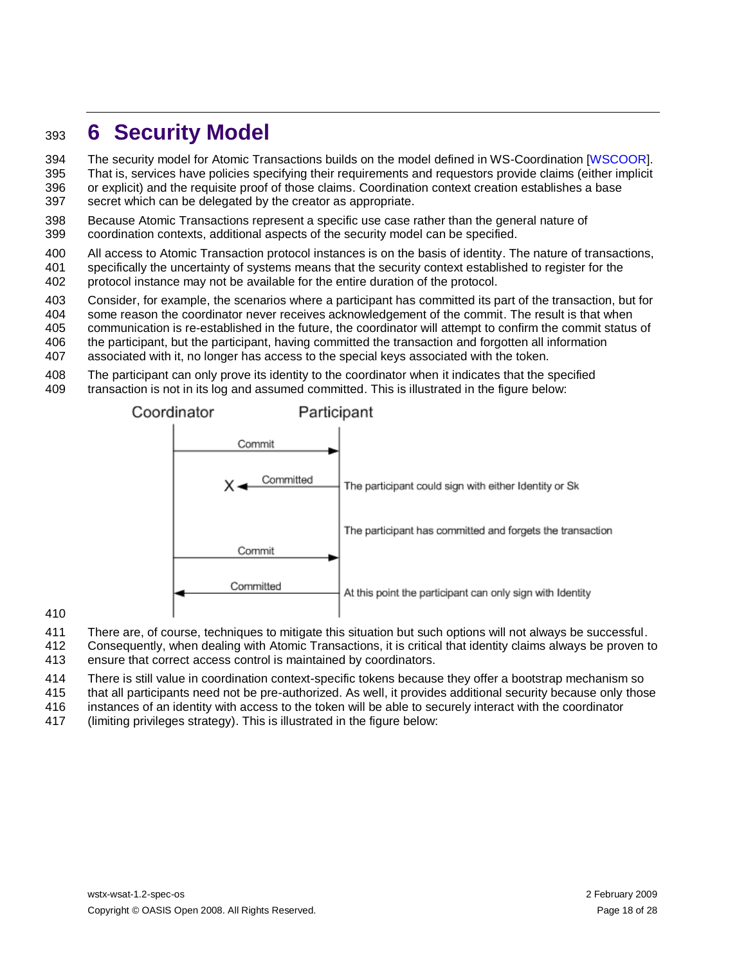## **6 Security Model**

The security model for Atomic Transactions builds on the model defined in WS-Coordination [\[WSCOOR\]](#page-6-3).

- That is, services have policies specifying their requirements and requestors provide claims (either implicit or explicit) and the requisite proof of those claims. Coordination context creation establishes a base
- secret which can be delegated by the creator as appropriate.
- Because Atomic Transactions represent a specific use case rather than the general nature of coordination contexts, additional aspects of the security model can be specified.
- All access to Atomic Transaction protocol instances is on the basis of identity. The nature of transactions, specifically the uncertainty of systems means that the security context established to register for the protocol instance may not be available for the entire duration of the protocol.
- Consider, for example, the scenarios where a participant has committed its part of the transaction, but for
- some reason the coordinator never receives acknowledgement of the commit. The result is that when
- communication is re-established in the future, the coordinator will attempt to confirm the commit status of
- the participant, but the participant, having committed the transaction and forgotten all information
- associated with it, no longer has access to the special keys associated with the token.
- The participant can only prove its identity to the coordinator when it indicates that the specified
- transaction is not in its log and assumed committed. This is illustrated in the figure below:



#### 

There are, of course, techniques to mitigate this situation but such options will not always be successful.

Consequently, when dealing with Atomic Transactions, it is critical that identity claims always be proven to

- ensure that correct access control is maintained by coordinators.
- There is still value in coordination context-specific tokens because they offer a bootstrap mechanism so

that all participants need not be pre-authorized. As well, it provides additional security because only those

instances of an identity with access to the token will be able to securely interact with the coordinator

(limiting privileges strategy). This is illustrated in the figure below: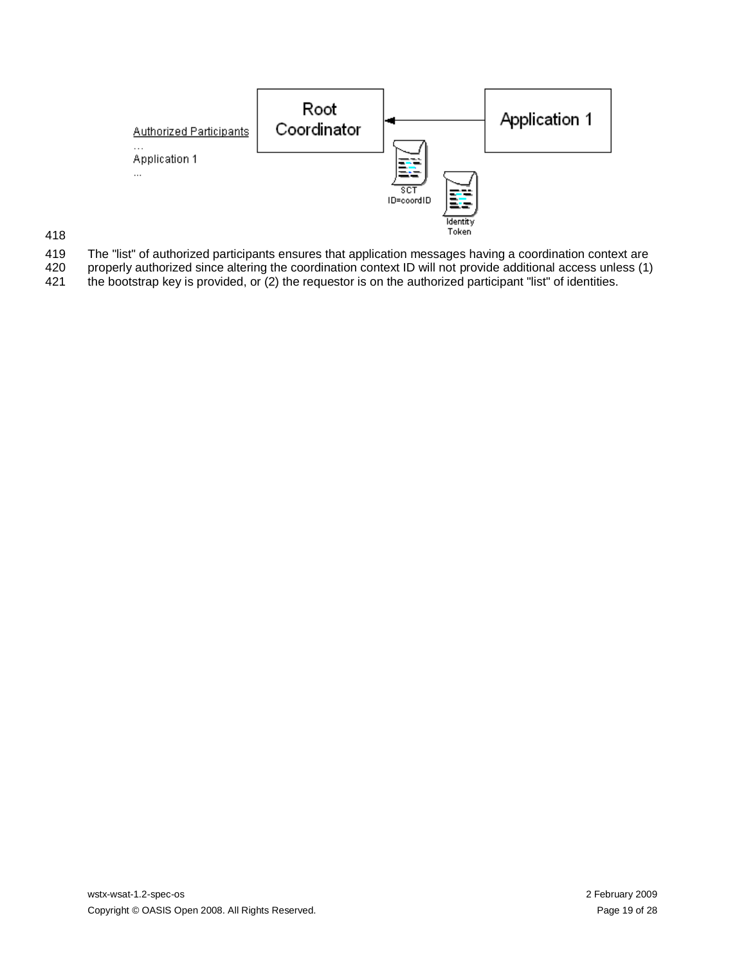

- 418
- 419 The "list" of authorized participants ensures that application messages having a coordination context are
- 420 properly authorized since altering the coordination context ID will not provide additional access unless (1)<br>421 the bootstrap key is provided, or (2) the requestor is on the authorized participant "list" of identities the bootstrap key is provided, or  $(2)$  the requestor is on the authorized participant "list" of identities.

wstx-wsat-1.2-spec-os 2 February 2009 Copyright © OASIS Open 2008. All Rights Reserved. **Page 19 of 28** Page 19 of 28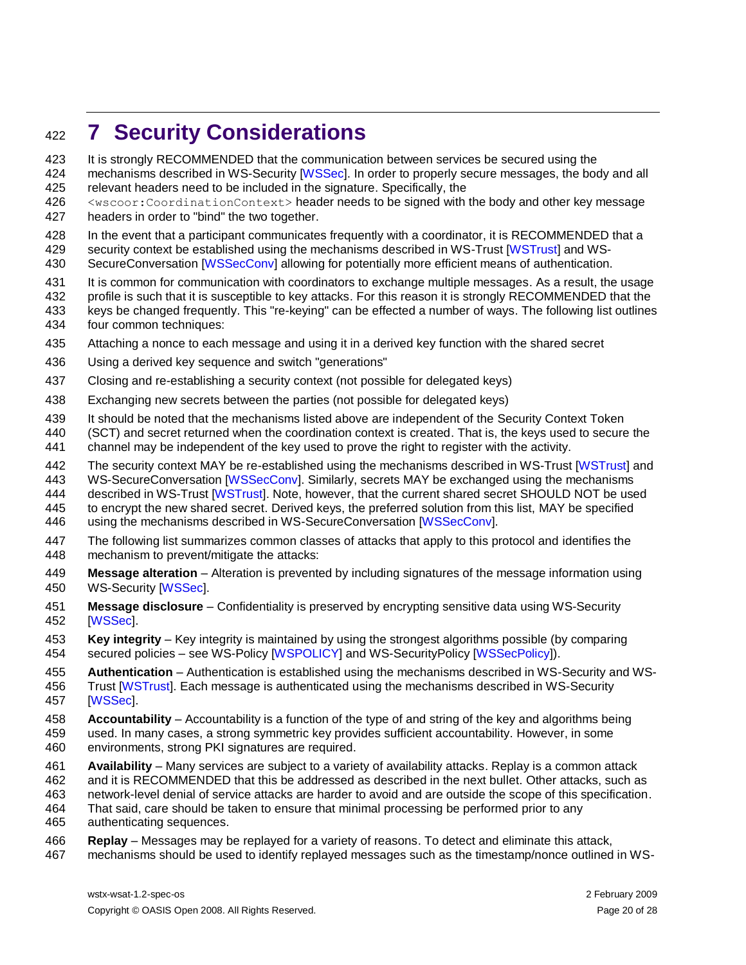## **7 Security Considerations**

It is strongly RECOMMENDED that the communication between services be secured using the

- mechanisms described in WS-Security [\[WSSec\]](#page-6-6). In order to properly secure messages, the body and all relevant headers need to be included in the signature. Specifically, the
- <wscoor:CoordinationContext> header needs to be signed with the body and other key message
- headers in order to "bind" the two together.
- 428 In the event that a participant communicates frequently with a coordinator, it is RECOMMENDED that a
- security context be established using the mechanisms described in WS-Trust [WSTrust] and WS-
- SecureConversation [\[WSSecConv\]](#page-7-4) allowing for potentially more efficient means of authentication.
- It is common for communication with coordinators to exchange multiple messages. As a result, the usage
- profile is such that it is susceptible to key attacks. For this reason it is strongly RECOMMENDED that the
- keys be changed frequently. This "re-keying" can be effected a number of ways. The following list outlines four common techniques:
- Attaching a nonce to each message and using it in a derived key function with the shared secret
- Using a derived key sequence and switch "generations"
- Closing and re-establishing a security context (not possible for delegated keys)
- Exchanging new secrets between the parties (not possible for delegated keys)
- It should be noted that the mechanisms listed above are independent of the Security Context Token
- (SCT) and secret returned when the coordination context is created. That is, the keys used to secure the
- channel may be independent of the key used to prove the right to register with the activity.
- 442 The security context MAY be re-established using the mechanisms described in WS-Trust [WSTrust] and
- WS-SecureConversation [\[WSSecConv\]](#page-7-4). Similarly, secrets MAY be exchanged using the mechanisms
- described in WS-Trust [WSTrust]. Note, however, that the current shared secret SHOULD NOT be used to encrypt the new shared secret. Derived keys, the preferred solution from this list, MAY be specified
- using the mechanisms described in WS-SecureConversation [\[WSSecConv\]](#page-7-4).
- The following list summarizes common classes of attacks that apply to this protocol and identifies the mechanism to prevent/mitigate the attacks:
- **Message alteration**  Alteration is prevented by including signatures of the message information using WS-Security [\[WSSec\]](#page-6-6).
- **Message disclosure**  Confidentiality is preserved by encrypting sensitive data using WS-Security [\[WSSec\]](#page-6-6).
- **Key integrity**  Key integrity is maintained by using the strongest algorithms possible (by comparing secured policies – see WS-Policy [\[WSPOLICY\]](#page-6-5) and WS-SecurityPolicy [\[WSSecPolicy\]](#page-7-5)).
- **Authentication** Authentication is established using the mechanisms described in WS-Security and WS-
- Trust [WSTrust]. Each message is authenticated using the mechanisms described in WS-Security [\[WSSec\]](#page-6-6).
- **Accountability** Accountability is a function of the type of and string of the key and algorithms being
- used. In many cases, a strong symmetric key provides sufficient accountability. However, in some environments, strong PKI signatures are required.
- 
- **Availability** Many services are subject to a variety of availability attacks. Replay is a common attack
- and it is RECOMMENDED that this be addressed as described in the next bullet. Other attacks, such as
- network-level denial of service attacks are harder to avoid and are outside the scope of this specification.
- That said, care should be taken to ensure that minimal processing be performed prior to any
- authenticating sequences.
- **Replay**  Messages may be replayed for a variety of reasons. To detect and eliminate this attack,
- mechanisms should be used to identify replayed messages such as the timestamp/nonce outlined in WS-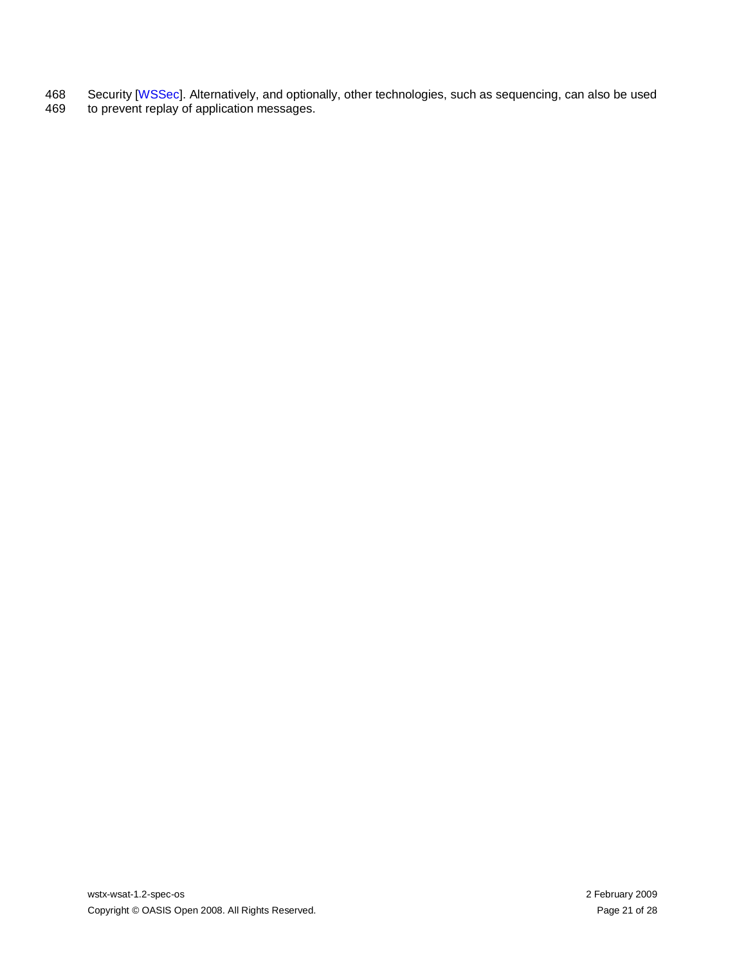468 Security [\[WSSec\]](#page-6-6). Alternatively, and optionally, other technologies, such as sequencing, can also be used 469 to prevent replay of application messages.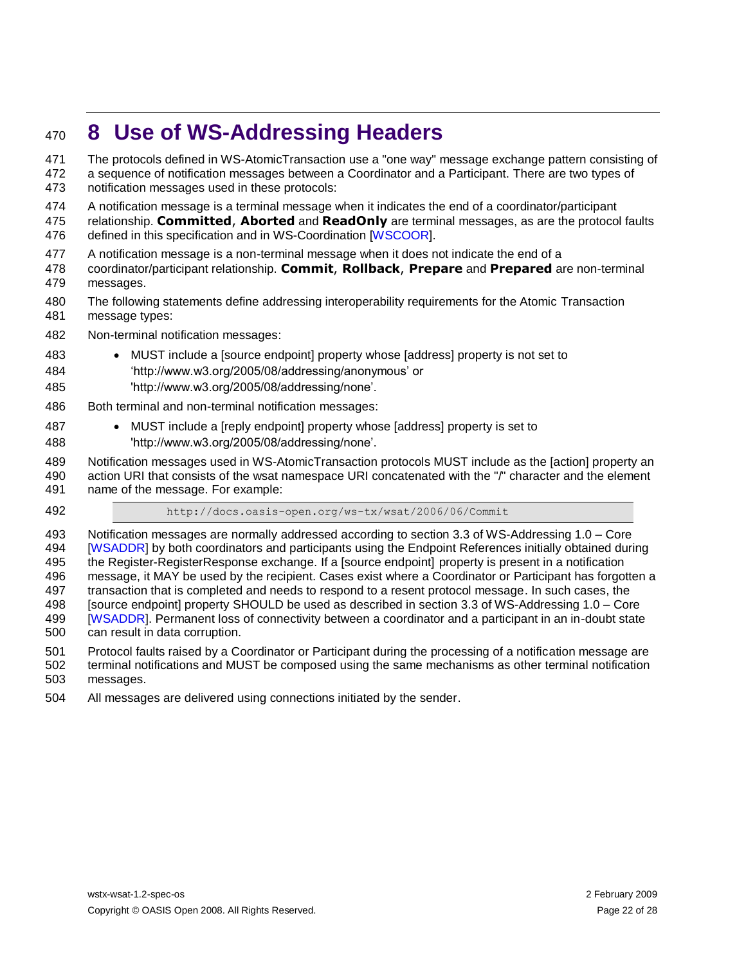## **8 Use of WS-Addressing Headers**

- The protocols defined in WS-AtomicTransaction use a "one way" message exchange pattern consisting of
- a sequence of notification messages between a Coordinator and a Participant. There are two types of notification messages used in these protocols:
- A notification message is a terminal message when it indicates the end of a coordinator/participant
- relationship. **Committed**, **Aborted** and **ReadOnly** are terminal messages, as are the protocol faults 476 defined in this specification and in WS-Coordination [\[WSCOOR\]](#page-6-3).
- A notification message is a non-terminal message when it does not indicate the end of a
- coordinator/participant relationship. **Commit**, **Rollback**, **Prepare** and **Prepared** are non-terminal messages.
- The following statements define addressing interoperability requirements for the Atomic Transaction message types:
- Non-terminal notification messages:
- MUST include a [source endpoint] property whose [address] property is not set to
- "http://www.w3.org/2005/08/addressing/anonymous" or
- 'http://www.w3.org/2005/08/addressing/none".
- Both terminal and non-terminal notification messages:
- MUST include a [reply endpoint] property whose [address] property is set to 'http://www.w3.org/2005/08/addressing/none".
- Notification messages used in WS-AtomicTransaction protocols MUST include as the [action] property an

action URI that consists of the wsat namespace URI concatenated with the "/" character and the element

- name of the message. For example:
- 
- http://docs.oasis-open.org/ws-tx/wsat/2006/06/Commit

 Notification messages are normally addressed according to section 3.3 of WS-Addressing 1.0 – Core [\[WSADDR\]](#page-6-4) by both coordinators and participants using the Endpoint References initially obtained during the Register-RegisterResponse exchange. If a [source endpoint] property is present in a notification message, it MAY be used by the recipient. Cases exist where a Coordinator or Participant has forgotten a transaction that is completed and needs to respond to a resent protocol message. In such cases, the [source endpoint] property SHOULD be used as described in section 3.3 of WS-Addressing 1.0 – Core [\[WSADDR\]](#page-6-4). Permanent loss of connectivity between a coordinator and a participant in an in-doubt state can result in data corruption.

Protocol faults raised by a Coordinator or Participant during the processing of a notification message are

- terminal notifications and MUST be composed using the same mechanisms as other terminal notification messages.
- All messages are delivered using connections initiated by the sender.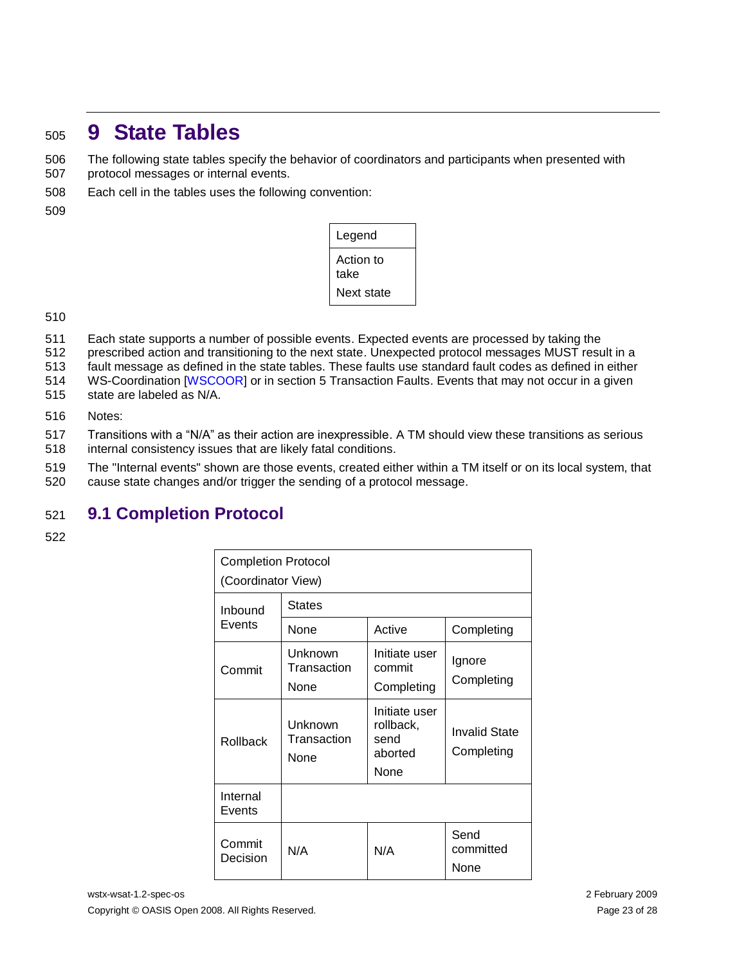## <span id="page-22-0"></span><sup>505</sup> **9 State Tables**

506 The following state tables specify the behavior of coordinators and participants when presented with 507 protocol messages or internal events.

508 Each cell in the tables uses the following convention:

509

| Legend            |
|-------------------|
| Action to<br>take |
| Next state        |

510

511 Each state supports a number of possible events. Expected events are processed by taking the

512 prescribed action and transitioning to the next state. Unexpected protocol messages MUST result in a

513 fault message as defined in the state tables. These faults use standard fault codes as defined in either

514 WS-Coordination [\[WSCOOR\]](#page-6-3) or in section [5](#page-15-0) [Transaction Faults.](#page-15-0) Events that may not occur in a given

515 state are labeled as N/A.

516 Notes:

517 Transitions with a "N/A" as their action are inexpressible. A TM should view these transitions as serious 518 internal consistency issues that are likely fatal conditions.

519 The "Internal events" shown are those events, created either within a TM itself or on its local system, that 520 cause state changes and/or trigger the sending of a protocol message.

#### 521 **9.1 Completion Protocol**

522

|                    | <b>Completion Protocol</b><br>(Coordinator View) |                                                       |                                    |  |  |
|--------------------|--------------------------------------------------|-------------------------------------------------------|------------------------------------|--|--|
| Inbound            | <b>States</b>                                    |                                                       |                                    |  |  |
| Events             | None                                             | Active                                                | Completing                         |  |  |
| Commit             | Unknown<br>Transaction<br>None                   | Initiate user<br>commit<br>Completing                 | Ignore<br>Completing               |  |  |
| Rollback           | Unknown<br>Transaction<br>None                   | Initiate user<br>rollback,<br>send<br>aborted<br>None | <b>Invalid State</b><br>Completing |  |  |
| Internal<br>Events |                                                  |                                                       |                                    |  |  |
| Commit<br>Decision | N/A                                              | N/A                                                   | Send<br>committed<br>None          |  |  |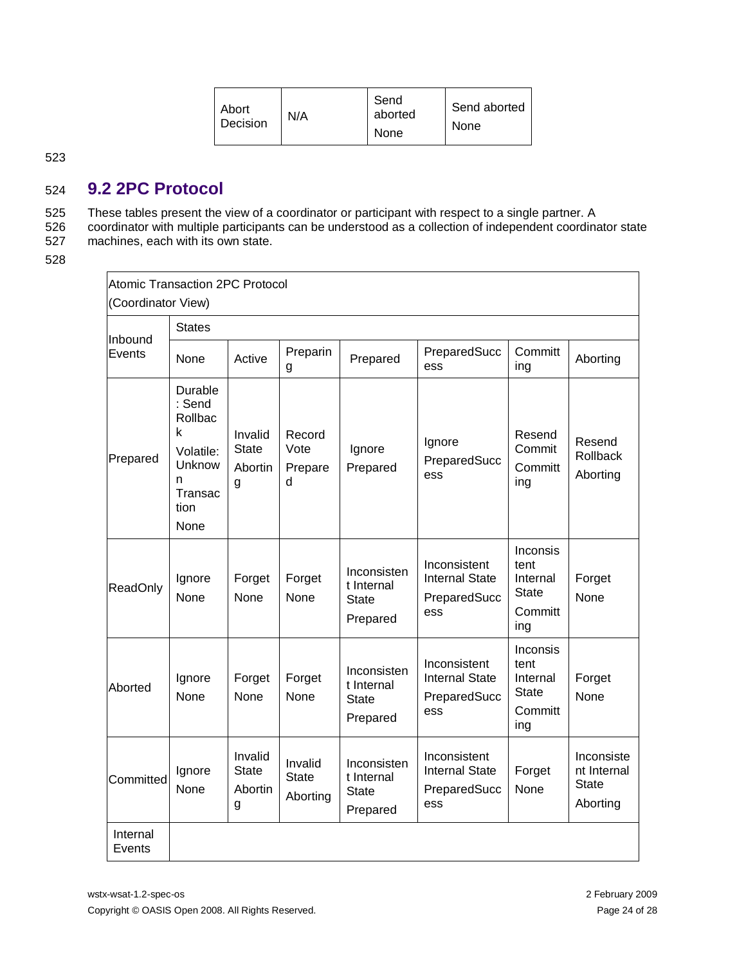| Abort<br>N/A<br>Decision | Send<br>aborted<br>None | Send aborted<br>None |
|--------------------------|-------------------------|----------------------|
|--------------------------|-------------------------|----------------------|

#### 523

#### 524 **9.2 2PC Protocol**

- 525 These tables present the view of a coordinator or participant with respect to a single partner. A<br>526 coordinator with multiple participants can be understood as a collection of independent coordina
- 526 coordinator with multiple participants can be understood as a collection of independent coordinator state<br>527 machines, each with its own state. machines, each with its own state.
- 528

| Atomic Transaction 2PC Protocol<br>(Coordinator View) |                                                                                           |                                         |                                     |                                                       |                                                              |                                                                |                                                |
|-------------------------------------------------------|-------------------------------------------------------------------------------------------|-----------------------------------------|-------------------------------------|-------------------------------------------------------|--------------------------------------------------------------|----------------------------------------------------------------|------------------------------------------------|
|                                                       | <b>States</b>                                                                             |                                         |                                     |                                                       |                                                              |                                                                |                                                |
| Inbound<br>Events                                     | None                                                                                      | Active                                  | Preparin<br>g                       | Prepared                                              | PreparedSucc<br>ess                                          | Committ<br>ing                                                 | Aborting                                       |
| Prepared                                              | Durable<br>: Send<br>Rollbac<br>k<br>Volatile:<br>Unknow<br>n.<br>Transac<br>tion<br>None | Invalid<br><b>State</b><br>Abortin<br>g | Record<br>Vote<br>Prepare<br>d      | Ignore<br>Prepared                                    | Ignore<br>PreparedSucc<br>ess                                | Resend<br>Commit<br>Committ<br>ing                             | Resend<br>Rollback<br>Aborting                 |
| ReadOnly                                              | Ignore<br>None                                                                            | Forget<br>None                          | Forget<br>None                      | Inconsisten<br>t Internal<br><b>State</b><br>Prepared | Inconsistent<br><b>Internal State</b><br>PreparedSucc<br>ess | Inconsis<br>tent<br>Internal<br><b>State</b><br>Committ<br>ing | Forget<br>None                                 |
| Aborted                                               | Ignore<br>None                                                                            | Forget<br>None                          | Forget<br>None                      | Inconsisten<br>t Internal<br><b>State</b><br>Prepared | Inconsistent<br><b>Internal State</b><br>PreparedSucc<br>ess | Inconsis<br>tent<br>Internal<br><b>State</b><br>Committ<br>ing | Forget<br>None                                 |
| Committed                                             | Ignore<br>None                                                                            | Invalid<br><b>State</b><br>Abortin<br>g | Invalid<br><b>State</b><br>Aborting | Inconsisten<br>t Internal<br><b>State</b><br>Prepared | Inconsistent<br><b>Internal State</b><br>PreparedSucc<br>ess | Forget<br>None                                                 | Inconsiste<br>nt Internal<br>State<br>Aborting |
| Internal<br>Events                                    |                                                                                           |                                         |                                     |                                                       |                                                              |                                                                |                                                |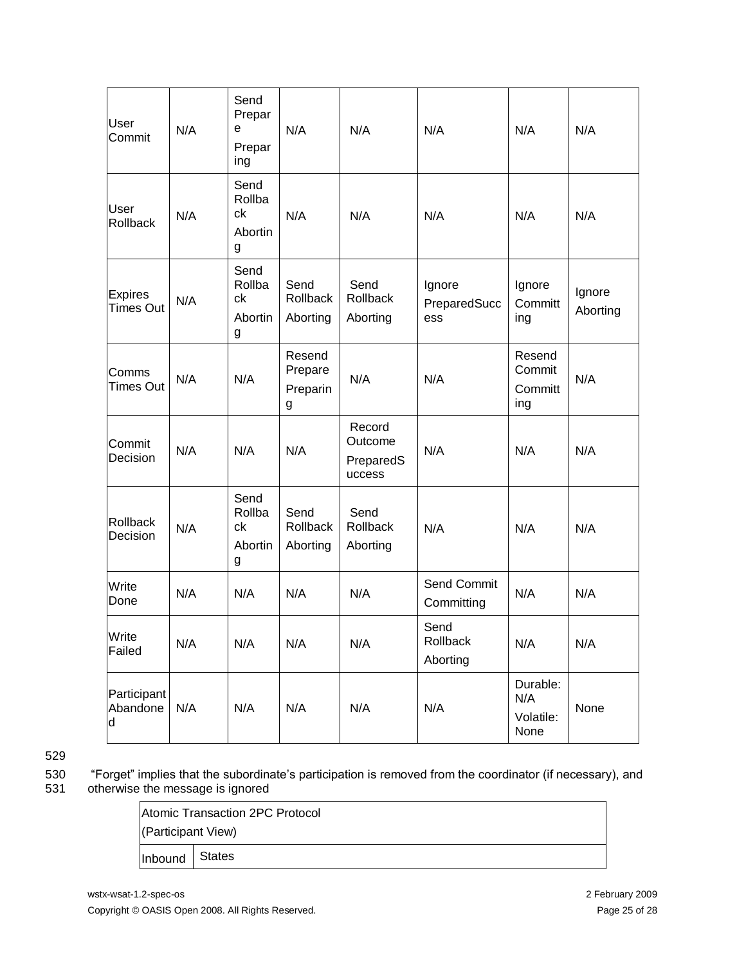| <b>User</b><br>Commit              | N/A | Send<br>Prepar<br>е<br>Prepar<br>ing | N/A                                | N/A                                      | N/A                           | N/A                                  | N/A                |
|------------------------------------|-----|--------------------------------------|------------------------------------|------------------------------------------|-------------------------------|--------------------------------------|--------------------|
| <b>User</b><br>Rollback            | N/A | Send<br>Rollba<br>ck<br>Abortin<br>g | N/A                                | N/A                                      | N/A                           | N/A                                  | N/A                |
| <b>Expires</b><br><b>Times Out</b> | N/A | Send<br>Rollba<br>ck<br>Abortin<br>g | Send<br>Rollback<br>Aborting       | Send<br>Rollback<br>Aborting             | Ignore<br>PreparedSucc<br>ess | Ignore<br>Committ<br>ing             | Ignore<br>Aborting |
| Comms<br>Times Out                 | N/A | N/A                                  | Resend<br>Prepare<br>Preparin<br>g | N/A                                      | N/A                           | Resend<br>Commit<br>Committ<br>ing   | N/A                |
| Commit<br>Decision                 | N/A | N/A                                  | N/A                                | Record<br>Outcome<br>PreparedS<br>uccess | N/A                           | N/A                                  | N/A                |
| Rollback<br>Decision               | N/A | Send<br>Rollba<br>ck<br>Abortin<br>g | Send<br>Rollback<br>Aborting       | Send<br>Rollback<br>Aborting             | N/A                           | N/A                                  | N/A                |
| Write<br>Done                      | N/A | N/A                                  | N/A                                | N/A                                      | Send Commit<br>Committing     | N/A                                  | N/A                |
| Write<br>Failed                    | N/A | N/A                                  | N/A                                | N/A                                      | Send<br>Rollback<br>Aborting  | N/A                                  | N/A                |
| Participant<br>Abandone<br>d       | N/A | N/A                                  | N/A                                | N/A                                      | N/A                           | Durable:<br>N/A<br>Volatile:<br>None | None               |

529

530 "Forget" implies that the subordinate"s participation is removed from the coordinator (if necessary), and 531 otherwise the message is ignored

> Atomic Transaction 2PC Protocol (Participant View) Inbound States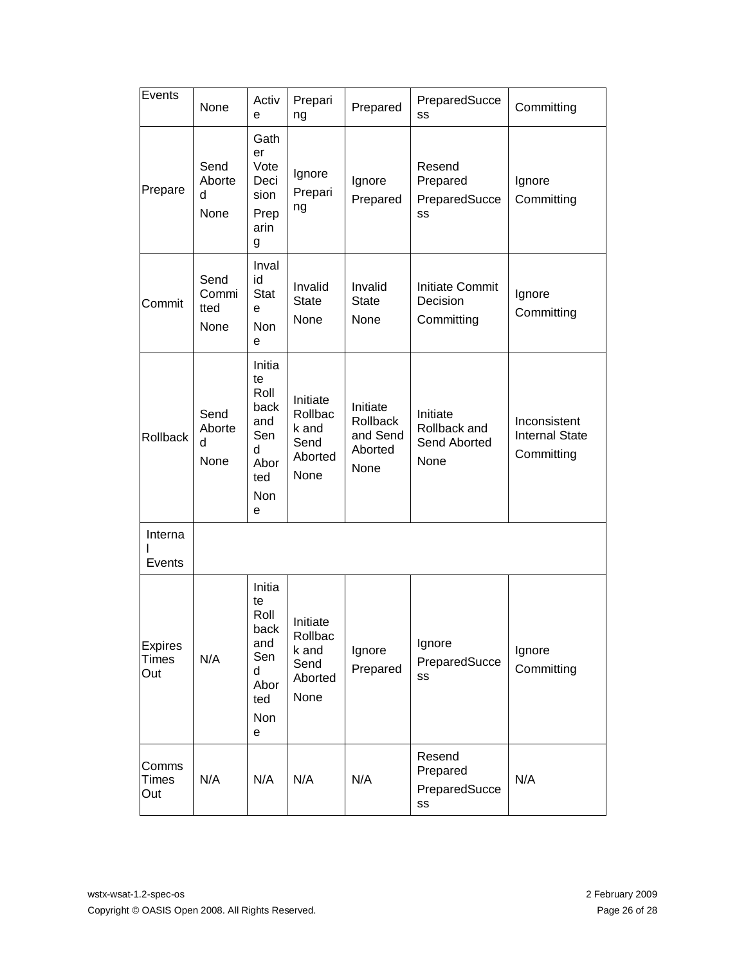| Events                                | None                          | Activ<br>е                                                                        | Prepari<br>ng                                           | Prepared                                            | PreparedSucce<br>SS                              | Committing                                          |
|---------------------------------------|-------------------------------|-----------------------------------------------------------------------------------|---------------------------------------------------------|-----------------------------------------------------|--------------------------------------------------|-----------------------------------------------------|
| Prepare                               | Send<br>Aborte<br>d<br>None   | Gath<br>er<br>Vote<br>Deci<br>sion<br>Prep<br>arin<br>g                           | Ignore<br>Prepari<br>ng                                 | Ignore<br>Prepared                                  | Resend<br>Prepared<br>PreparedSucce<br>SS        | Ignore<br>Committing                                |
| Commit                                | Send<br>Commi<br>tted<br>None | Inval<br>id<br><b>Stat</b><br>е<br><b>Non</b><br>е                                | Invalid<br><b>State</b><br>None                         | Invalid<br><b>State</b><br>None                     | Initiate Commit<br>Decision<br>Committing        | Ignore<br>Committing                                |
| <b>Rollback</b>                       | Send<br>Aborte<br>d<br>None   | Initia<br>te<br>Roll<br>back<br>and<br>Sen<br>d<br>Abor<br>ted<br><b>Non</b><br>е | Initiate<br>Rollbac<br>k and<br>Send<br>Aborted<br>None | Initiate<br>Rollback<br>and Send<br>Aborted<br>None | Initiate<br>Rollback and<br>Send Aborted<br>None | Inconsistent<br><b>Internal State</b><br>Committing |
| Interna<br>Events                     |                               |                                                                                   |                                                         |                                                     |                                                  |                                                     |
| <b>Expires</b><br><b>Times</b><br>Out | N/A                           | Initia<br>te<br>Roll<br>back<br>and<br>Sen<br>d<br>Abor<br>ted<br>Non<br>е        | Initiate<br>Rollbac<br>k and<br>Send<br>Aborted<br>None | Ignore<br>Prepared                                  | Ignore<br>PreparedSucce<br>SS                    | Ignore<br>Committing                                |
| Comms<br><b>Times</b><br>Out          | N/A                           | N/A                                                                               | N/A                                                     | N/A                                                 | Resend<br>Prepared<br>PreparedSucce<br>SS        | N/A                                                 |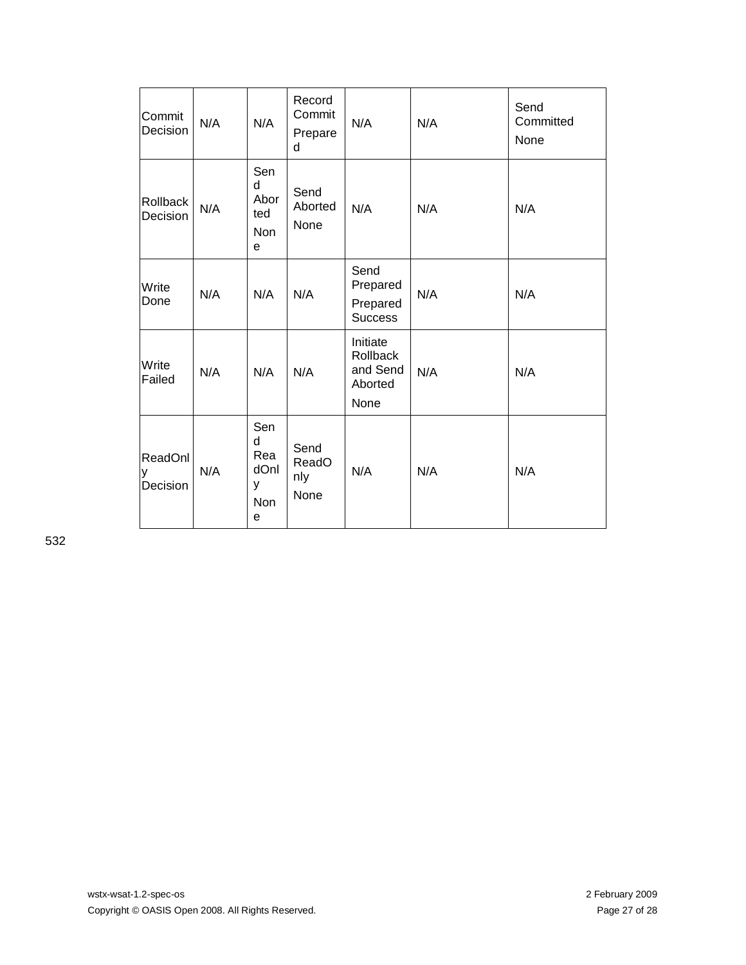| Commit<br>Decision       | N/A | N/A                                        | Record<br>Commit<br>Prepare<br>d | N/A                                                 | N/A | Send<br>Committed<br>None |
|--------------------------|-----|--------------------------------------------|----------------------------------|-----------------------------------------------------|-----|---------------------------|
| Rollback<br>Decision     | N/A | Sen<br>d<br>Abor<br>ted<br><b>Non</b><br>e | Send<br>Aborted<br>None          | N/A                                                 | N/A | N/A                       |
| Write<br>Done            | N/A | N/A                                        | N/A                              | Send<br>Prepared<br>Prepared<br><b>Success</b>      | N/A | N/A                       |
| Write<br>Failed          | N/A | N/A                                        | N/A                              | Initiate<br>Rollback<br>and Send<br>Aborted<br>None | N/A | N/A                       |
| ReadOnl<br>у<br>Decision | N/A | Sen<br>d<br>Rea<br>dOnl<br>У<br>Non<br>e   | Send<br>ReadO<br>nly<br>None     | N/A                                                 | N/A | N/A                       |

532